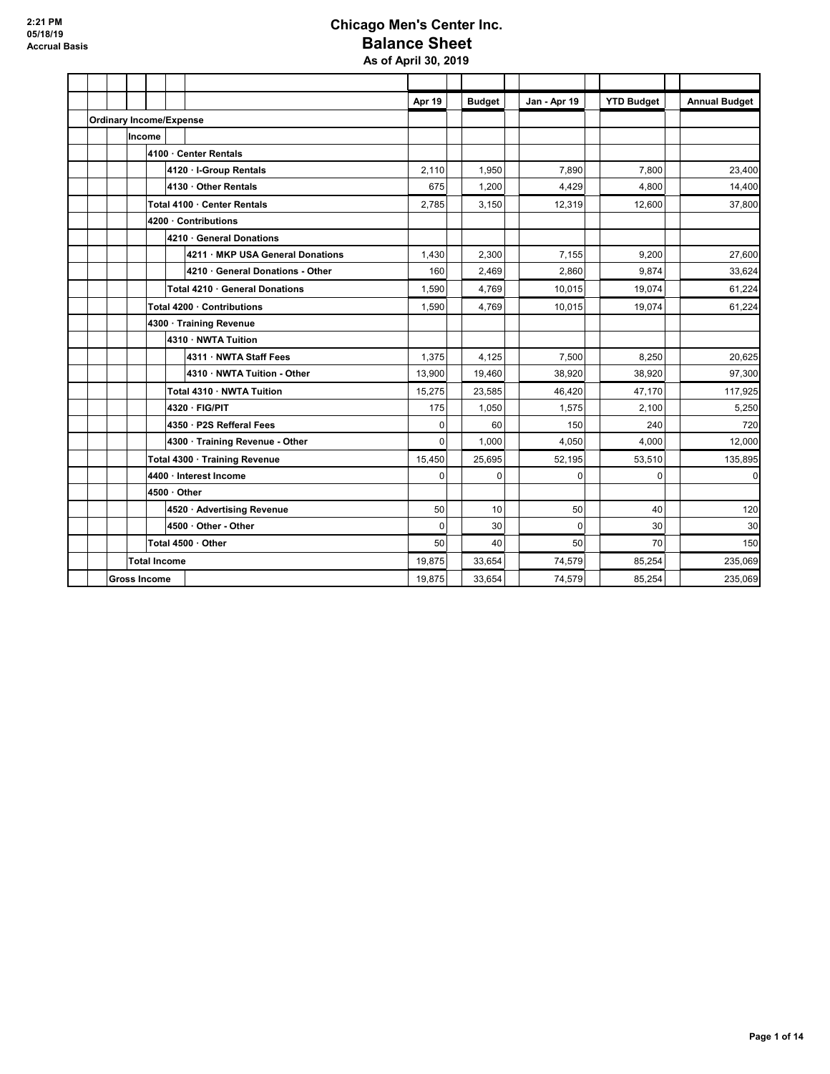### **Chicago Men's Center Inc. Balance Sheet As of April 30, 2019**

|  |        |                                |  |                                  | Apr 19      | <b>Budget</b> | Jan - Apr 19   | <b>YTD Budget</b> | <b>Annual Budget</b> |
|--|--------|--------------------------------|--|----------------------------------|-------------|---------------|----------------|-------------------|----------------------|
|  |        | <b>Ordinary Income/Expense</b> |  |                                  |             |               |                |                   |                      |
|  | Income |                                |  |                                  |             |               |                |                   |                      |
|  |        |                                |  | 4100 · Center Rentals            |             |               |                |                   |                      |
|  |        |                                |  | 4120 · I-Group Rentals           | 2.110       | 1.950         | 7.890          | 7.800             | 23.400               |
|  |        |                                |  | 4130 · Other Rentals             | 675         | 1,200         | 4,429          | 4,800             | 14,400               |
|  |        |                                |  | Total 4100 · Center Rentals      | 2,785       | 3,150         | 12,319         | 12,600            | 37,800               |
|  |        |                                |  | 4200 · Contributions             |             |               |                |                   |                      |
|  |        |                                |  | 4210 · General Donations         |             |               |                |                   |                      |
|  |        |                                |  | 4211 · MKP USA General Donations | 1,430       | 2,300         | 7.155          | 9.200             | 27,600               |
|  |        |                                |  | 4210 · General Donations - Other | 160         | 2,469         | 2.860          | 9,874             | 33,624               |
|  |        |                                |  | Total 4210 · General Donations   | 1,590       | 4,769         | 10.015         | 19,074            | 61,224               |
|  |        | Total 4200 · Contributions     |  | 1,590                            | 4,769       | 10,015        | 19,074         | 61,224            |                      |
|  |        | 4300 · Training Revenue        |  |                                  |             |               |                |                   |                      |
|  |        |                                |  | 4310 · NWTA Tuition              |             |               |                |                   |                      |
|  |        |                                |  | 4311 · NWTA Staff Fees           | 1,375       | 4,125         | 7,500          | 8,250             | 20,625               |
|  |        |                                |  | 4310 · NWTA Tuition - Other      | 13,900      | 19,460        | 38,920         | 38,920            | 97,300               |
|  |        |                                |  | Total 4310 · NWTA Tuition        | 15,275      | 23,585        | 46.420         | 47,170            | 117,925              |
|  |        |                                |  | 4320 · FIG/PIT                   | 175         | 1,050         | 1,575          | 2,100             | 5,250                |
|  |        |                                |  | 4350 · P2S Refferal Fees         | $\mathbf 0$ | 60            | 150            | 240               | 720                  |
|  |        |                                |  | 4300 · Training Revenue - Other  | $\Omega$    | 1,000         | 4,050          | 4.000             | 12,000               |
|  |        |                                |  | Total 4300 · Training Revenue    | 15,450      | 25,695        | 52,195         | 53,510            | 135,895              |
|  |        |                                |  | 4400 · Interest Income           | $\mathbf 0$ | $\Omega$      | $\Omega$       | $\Omega$          | $\overline{0}$       |
|  |        | $4500 \cdot$ Other             |  |                                  |             |               |                |                   |                      |
|  |        |                                |  | 4520 · Advertising Revenue       | 50          | 10            | 50             | 40                | 120                  |
|  |        |                                |  | 4500 · Other - Other             | $\mathbf 0$ | 30            | $\overline{0}$ | 30                | 30                   |
|  |        |                                |  | Total 4500 · Other               | 50          | 40            | 50             | 70                | 150                  |
|  |        | <b>Total Income</b>            |  |                                  | 19,875      | 33.654        | 74,579         | 85,254            | 235,069              |
|  |        | <b>Gross Income</b>            |  |                                  | 19.875      | 33.654        | 74,579         | 85,254            | 235,069              |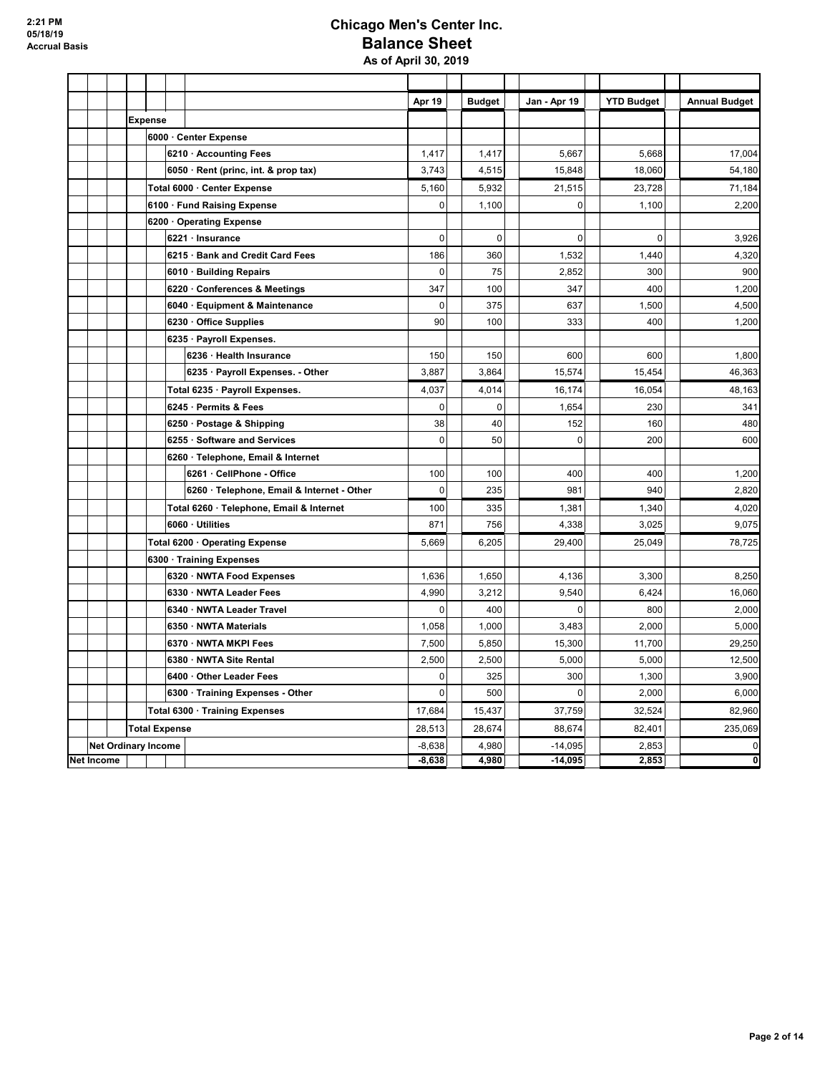### **Chicago Men's Center Inc. Balance Sheet As of April 30, 2019**

|                   |  |                            |                                            | Apr 19               | <b>Budget</b>  | Jan - Apr 19           | <b>YTD Budget</b> | <b>Annual Budget</b>           |
|-------------------|--|----------------------------|--------------------------------------------|----------------------|----------------|------------------------|-------------------|--------------------------------|
|                   |  | <b>Expense</b>             |                                            |                      |                |                        |                   |                                |
|                   |  |                            | 6000 · Center Expense                      |                      |                |                        |                   |                                |
|                   |  |                            | 6210 · Accounting Fees                     | 1,417                | 1,417          | 5,667                  | 5,668             | 17,004                         |
|                   |  |                            | 6050 · Rent (princ, int. & prop tax)       | 3,743                | 4,515          | 15,848                 | 18,060            | 54,180                         |
|                   |  |                            | Total 6000 · Center Expense                | 5,160                | 5,932          | 21,515                 | 23,728            | 71,184                         |
|                   |  |                            | 6100 · Fund Raising Expense                | $\mathbf 0$          | 1,100          | 0                      | 1,100             | 2,200                          |
|                   |  |                            | 6200 Operating Expense                     |                      |                |                        |                   |                                |
|                   |  |                            | 6221 · Insurance                           | $\mathbf 0$          | 0              | $\mathbf 0$            | $\mathbf 0$       | 3,926                          |
|                   |  |                            | 6215 · Bank and Credit Card Fees           | 186                  | 360            | 1,532                  | 1,440             | 4,320                          |
|                   |  |                            | 6010 · Building Repairs                    | $\mathbf 0$          | 75             | 2,852                  | 300               | 900                            |
|                   |  |                            | 6220 Conferences & Meetings                | 347                  | 100            | 347                    | 400               | 1,200                          |
|                   |  |                            | 6040 · Equipment & Maintenance             | $\mathbf 0$          | 375            | 637                    | 1,500             | 4,500                          |
|                   |  |                            | 6230 · Office Supplies                     | 90                   | 100            | 333                    | 400               | 1,200                          |
|                   |  |                            | 6235 · Payroll Expenses.                   |                      |                |                        |                   |                                |
|                   |  |                            | 6236 · Health Insurance                    | 150                  | 150            | 600                    | 600               | 1,800                          |
|                   |  |                            | 6235 · Payroll Expenses. - Other           | 3,887                | 3,864          | 15,574                 | 15,454            | 46,363                         |
|                   |  |                            | Total 6235 · Payroll Expenses.             | 4,037                | 4,014          | 16,174                 | 16,054            | 48,163                         |
|                   |  |                            | 6245 · Permits & Fees                      | $\mathbf 0$          | $\mathbf 0$    | 1,654                  | 230               | 341                            |
|                   |  |                            | 6250 · Postage & Shipping                  | 38                   | 40             | 152                    | 160               | 480                            |
|                   |  |                            | 6255 · Software and Services               | $\mathbf 0$          | 50             | $\mathbf 0$            | 200               | 600                            |
|                   |  |                            | 6260 · Telephone, Email & Internet         |                      |                |                        |                   |                                |
|                   |  |                            | 6261 CellPhone - Office                    | 100                  | 100            | 400                    | 400               | 1,200                          |
|                   |  |                            | 6260 · Telephone, Email & Internet - Other | $\mathbf 0$          | 235            | 981                    | 940               | 2,820                          |
|                   |  |                            | Total 6260 · Telephone, Email & Internet   | 100                  | 335            | 1,381                  | 1,340             | 4,020                          |
|                   |  |                            | 6060 · Utilities                           | 871                  | 756            | 4,338                  | 3,025             | 9,075                          |
|                   |  |                            | Total 6200 · Operating Expense             | 5,669                | 6,205          | 29,400                 | 25,049            | 78,725                         |
|                   |  |                            | 6300 · Training Expenses                   |                      |                |                        |                   |                                |
|                   |  |                            | 6320 · NWTA Food Expenses                  | 1,636                | 1,650          | 4.136                  | 3.300             | 8,250                          |
|                   |  |                            | 6330 · NWTA Leader Fees                    | 4,990                | 3,212          | 9.540                  | 6,424             | 16,060                         |
|                   |  |                            | 6340 · NWTA Leader Travel                  | $\pmb{0}$            | 400            | 0                      | 800               | 2,000                          |
|                   |  |                            | 6350 · NWTA Materials                      | 1,058                | 1,000          | 3,483                  | 2,000             | 5,000                          |
|                   |  |                            | 6370 · NWTA MKPI Fees                      | 7,500                | 5,850          | 15,300                 | 11,700            | 29,250                         |
|                   |  |                            | 6380 · NWTA Site Rental                    | 2,500                | 2,500          | 5,000                  | 5,000             | 12,500                         |
|                   |  |                            | 6400 Other Leader Fees                     | $\mathbf 0$          | 325            | 300                    | 1,300             | 3,900                          |
|                   |  |                            | 6300 · Training Expenses - Other           | $\mathbf 0$          | 500            | $\mathbf 0$            | 2,000             | 6,000                          |
|                   |  |                            | Total 6300 · Training Expenses             | 17,684               | 15,437         | 37,759                 | 32,524            | 82,960                         |
|                   |  | <b>Total Expense</b>       |                                            | 28,513               | 28,674         | 88,674                 | 82,401            | 235,069                        |
| <b>Net Income</b> |  | <b>Net Ordinary Income</b> |                                            | $-8,638$<br>$-8,638$ | 4,980<br>4,980 | $-14,095$<br>$-14,095$ | 2,853<br>2,853    | 0<br>$\overline{\mathfrak{o}}$ |
|                   |  |                            |                                            |                      |                |                        |                   |                                |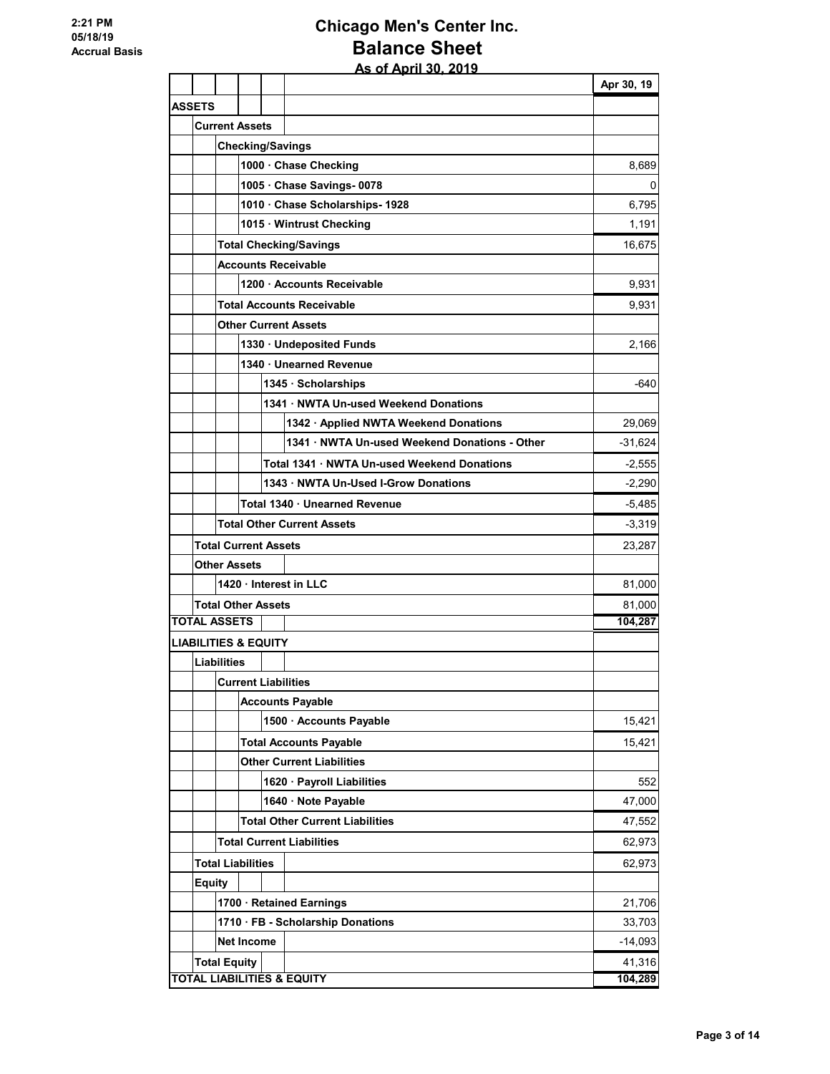## **Chicago Men's Center Inc. Balance Sheet As of April 30, 2019**

|                                 |                                             |                               |          |                                             | Apr 30, 19 |  |  |  |
|---------------------------------|---------------------------------------------|-------------------------------|----------|---------------------------------------------|------------|--|--|--|
| <b>ASSETS</b>                   |                                             |                               |          |                                             |            |  |  |  |
|                                 |                                             | <b>Current Assets</b>         |          |                                             |            |  |  |  |
|                                 |                                             |                               |          | <b>Checking/Savings</b>                     |            |  |  |  |
|                                 |                                             |                               |          | 1000 · Chase Checking                       | 8,689      |  |  |  |
|                                 |                                             |                               |          | 1005 Chase Savings-0078                     | 0          |  |  |  |
|                                 |                                             |                               |          | 1010 Chase Scholarships- 1928               | 6,795      |  |  |  |
|                                 |                                             |                               |          | 1015 · Wintrust Checking                    | 1,191      |  |  |  |
|                                 |                                             |                               |          | <b>Total Checking/Savings</b>               | 16,675     |  |  |  |
|                                 |                                             |                               |          | <b>Accounts Receivable</b>                  |            |  |  |  |
|                                 |                                             |                               |          | 1200 · Accounts Receivable                  | 9,931      |  |  |  |
|                                 |                                             |                               |          | <b>Total Accounts Receivable</b>            | 9,931      |  |  |  |
|                                 |                                             |                               |          | <b>Other Current Assets</b>                 |            |  |  |  |
|                                 |                                             |                               |          | 1330 · Undeposited Funds                    | 2,166      |  |  |  |
|                                 |                                             |                               |          | 1340 · Unearned Revenue                     |            |  |  |  |
|                                 |                                             |                               |          | 1345 · Scholarships                         | $-640$     |  |  |  |
|                                 |                                             |                               |          | 1341 · NWTA Un-used Weekend Donations       |            |  |  |  |
|                                 |                                             |                               |          | 1342 · Applied NWTA Weekend Donations       | 29,069     |  |  |  |
|                                 |                                             |                               |          | 1341 NWTA Un-used Weekend Donations - Other | $-31,624$  |  |  |  |
|                                 | Total 1341 · NWTA Un-used Weekend Donations |                               |          |                                             |            |  |  |  |
|                                 | $-2,290$                                    |                               |          |                                             |            |  |  |  |
|                                 |                                             | Total 1340 · Unearned Revenue | $-5,485$ |                                             |            |  |  |  |
|                                 |                                             |                               |          | <b>Total Other Current Assets</b>           | $-3,319$   |  |  |  |
|                                 |                                             | <b>Total Current Assets</b>   |          |                                             | 23,287     |  |  |  |
|                                 |                                             | <b>Other Assets</b>           |          |                                             |            |  |  |  |
|                                 |                                             |                               |          | 1420 Interest in LLC                        | 81,000     |  |  |  |
|                                 |                                             | <b>Total Other Assets</b>     |          |                                             | 81,000     |  |  |  |
| <b>TOTAL ASSETS</b>             |                                             |                               |          |                                             | 104,287    |  |  |  |
| <b>LIABILITIES &amp; EQUITY</b> |                                             |                               |          |                                             |            |  |  |  |
|                                 | <b>Liabilities</b>                          |                               |          |                                             |            |  |  |  |
|                                 |                                             |                               |          | <b>Current Liabilities</b>                  |            |  |  |  |
|                                 |                                             |                               |          | <b>Accounts Payable</b>                     |            |  |  |  |
|                                 |                                             |                               |          | 1500 · Accounts Payable                     | 15,421     |  |  |  |
|                                 |                                             |                               |          | <b>Total Accounts Payable</b>               | 15,421     |  |  |  |
|                                 |                                             |                               |          | <b>Other Current Liabilities</b>            |            |  |  |  |
|                                 |                                             |                               |          | 1620 · Payroll Liabilities                  | 552        |  |  |  |
|                                 |                                             |                               |          | 1640 · Note Payable                         | 47,000     |  |  |  |
|                                 |                                             |                               |          | <b>Total Other Current Liabilities</b>      | 47,552     |  |  |  |
|                                 |                                             |                               |          | <b>Total Current Liabilities</b>            | 62,973     |  |  |  |
|                                 |                                             | <b>Total Liabilities</b>      |          |                                             | 62,973     |  |  |  |
| <b>Equity</b>                   |                                             |                               |          |                                             |            |  |  |  |
|                                 |                                             |                               |          | 1700 · Retained Earnings                    | 21,706     |  |  |  |
|                                 |                                             |                               |          | 1710 · FB - Scholarship Donations           | 33,703     |  |  |  |
|                                 |                                             | <b>Net Income</b>             |          |                                             | $-14,093$  |  |  |  |
|                                 | <b>Total Equity</b>                         |                               |          |                                             | 41,316     |  |  |  |
|                                 |                                             |                               |          | <b>TOTAL LIABILITIES &amp; EQUITY</b>       | 104,289    |  |  |  |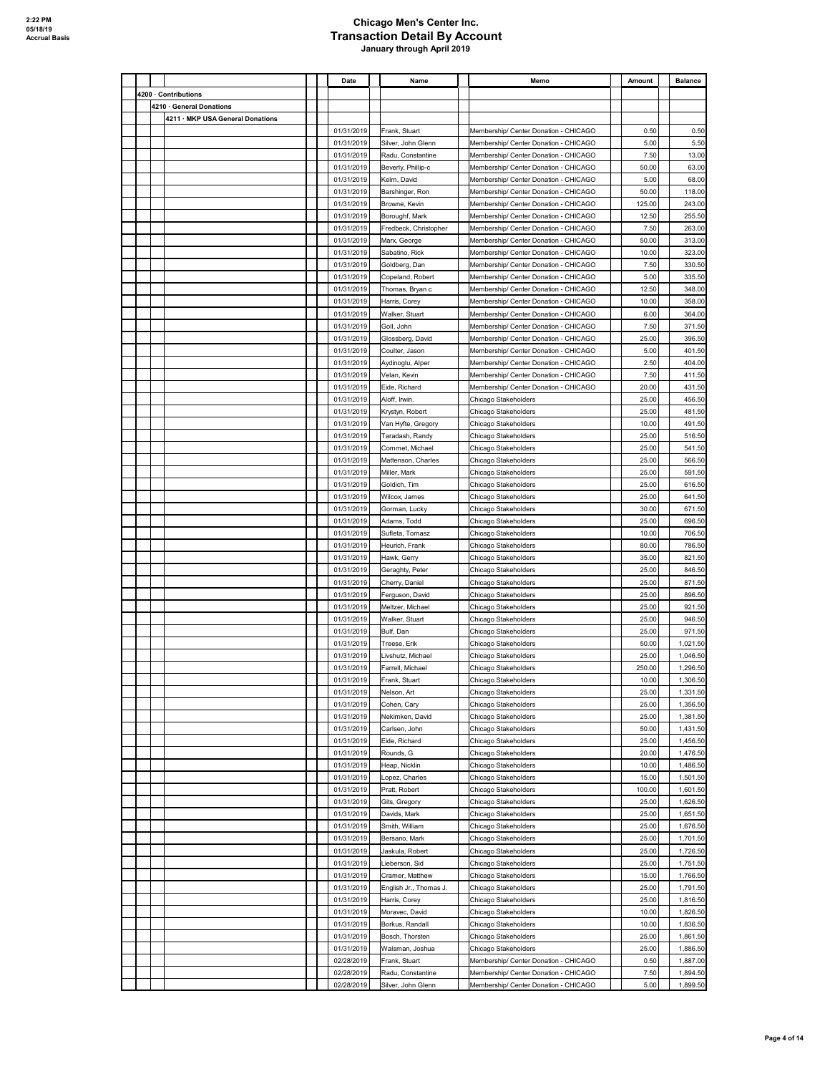|  |                                  | Date       | Name                   | Memo                                  | Amount | <b>Balance</b> |
|--|----------------------------------|------------|------------------------|---------------------------------------|--------|----------------|
|  | 4200 · Contributions             |            |                        |                                       |        |                |
|  | 4210 · General Donations         |            |                        |                                       |        |                |
|  | 4211 · MKP USA General Donations |            |                        |                                       |        |                |
|  |                                  | 01/31/2019 | Frank, Stuart          | Membership/ Center Donation - CHICAGO | 0.50   | 0.50           |
|  |                                  | 01/31/2019 | Silver, John Glenn     | Membership/ Center Donation - CHICAGO | 5.00   | 5.50           |
|  |                                  | 01/31/2019 | Radu, Constantine      | Membership/ Center Donation - CHICAGO | 7.50   | 13.00          |
|  |                                  | 01/31/2019 | Beverly, Phillip-c     | Membership/ Center Donation - CHICAGO | 50.00  | 63.00          |
|  |                                  | 01/31/2019 | Kelm, David            | Membership/ Center Donation - CHICAGO | 5.00   | 68.00          |
|  |                                  | 01/31/2019 | Barshinger, Ron        | Membership/ Center Donation - CHICAGO | 50.00  | 118.00         |
|  |                                  | 01/31/2019 | Browne, Kevin          | Membership/ Center Donation - CHICAGO | 125.00 | 243.00         |
|  |                                  | 01/31/2019 | Boroughf, Mark         | Membership/ Center Donation - CHICAGO | 12.50  | 255.50         |
|  |                                  | 01/31/2019 | Fredbeck, Christopher  | Membership/ Center Donation - CHICAGO | 7.50   | 263.00         |
|  |                                  | 01/31/2019 | Marx, George           | Membership/ Center Donation - CHICAGO | 50.00  | 313.00         |
|  |                                  | 01/31/2019 | Sabatino, Rick         | Membership/ Center Donation - CHICAGO | 10.00  | 323.00         |
|  |                                  | 01/31/2019 | Goldberg, Dan          | Membership/ Center Donation - CHICAGO | 7.50   | 330.50         |
|  |                                  | 01/31/2019 | Copeland, Robert       | Membership/ Center Donation - CHICAGO | 5.00   | 335.50         |
|  |                                  | 01/31/2019 | Thomas, Bryan c        | Membership/ Center Donation - CHICAGO | 12.50  | 348.00         |
|  |                                  | 01/31/2019 | Harris, Corey          | Membership/ Center Donation - CHICAGO | 10.00  | 358.00         |
|  |                                  | 01/31/2019 | Walker, Stuart         | Membership/ Center Donation - CHICAGO | 6.00   | 364.00         |
|  |                                  | 01/31/2019 | Goll, John             | Membership/ Center Donation - CHICAGO | 7.50   | 371.50         |
|  |                                  | 01/31/2019 | Glossberg, David       | Membership/ Center Donation - CHICAGO | 25.00  | 396.50         |
|  |                                  | 01/31/2019 | Coulter, Jason         | Membership/ Center Donation - CHICAGO | 5.00   | 401.50         |
|  |                                  | 01/31/2019 | Aydinoglu, Alper       | Membership/ Center Donation - CHICAGO | 2.50   | 404.00         |
|  |                                  | 01/31/2019 | Velan, Kevin           | Membership/ Center Donation - CHICAGO | 7.50   | 411.50         |
|  |                                  | 01/31/2019 | Eide, Richard          | Membership/ Center Donation - CHICAGO | 20.00  | 431.50         |
|  |                                  | 01/31/2019 | Aloff, Irwin.          | Chicago Stakeholders                  | 25.00  | 456.50         |
|  |                                  | 01/31/2019 | Krystyn, Robert        | Chicago Stakeholders                  | 25.00  | 481.50         |
|  |                                  | 01/31/2019 | Van Hyfte, Gregory     | Chicago Stakeholders                  | 10.00  | 491.50         |
|  |                                  | 01/31/2019 | Taradash, Randy        | Chicago Stakeholders                  | 25.00  | 516.50         |
|  |                                  | 01/31/2019 | Commet, Michael        | Chicago Stakeholders                  | 25.00  | 541.50         |
|  |                                  | 01/31/2019 | Mattenson, Charles     | Chicago Stakeholders                  | 25.00  | 566.50         |
|  |                                  | 01/31/2019 | Miller, Mark           | Chicago Stakeholders                  | 25.00  | 591.50         |
|  |                                  | 01/31/2019 | Goldich, Tim           | Chicago Stakeholders                  | 25.00  | 616.50         |
|  |                                  | 01/31/2019 | Wilcox, James          | Chicago Stakeholders                  | 25.00  | 641.50         |
|  |                                  | 01/31/2019 | Gorman, Lucky          | Chicago Stakeholders                  | 30.00  | 671.50         |
|  |                                  | 01/31/2019 | Adams, Todd            | Chicago Stakeholders                  | 25.00  | 696.50         |
|  |                                  | 01/31/2019 | Sufleta, Tomasz        | Chicago Stakeholders                  | 10.00  | 706.50         |
|  |                                  | 01/31/2019 | Heurich, Frank         | Chicago Stakeholders                  | 80.00  | 786.50         |
|  |                                  | 01/31/2019 | Hawk, Gerry            | Chicago Stakeholders                  | 35.00  | 821.50         |
|  |                                  | 01/31/2019 | Geraghty, Peter        | Chicago Stakeholders                  | 25.00  | 846.50         |
|  |                                  | 01/31/2019 | Cherry, Daniel         | Chicago Stakeholders                  | 25.00  | 871.50         |
|  |                                  | 01/31/2019 | Ferguson, David        | Chicago Stakeholders                  | 25.00  | 896.50         |
|  |                                  | 01/31/2019 | Meltzer, Michael       | Chicago Stakeholders                  | 25.00  | 921.50         |
|  |                                  | 01/31/2019 | Walker, Stuart         | Chicago Stakeholders                  | 25.00  | 946.50         |
|  |                                  | 01/31/2019 | Bulf, Dan              | Chicago Stakeholders                  | 25.00  | 971.50         |
|  |                                  | 01/31/2019 | Treese, Erik           | Chicago Stakeholders                  | 50.00  | 1,021.50       |
|  |                                  | 01/31/2019 | Livshutz, Michael      | Chicago Stakeholders                  | 25.00  | 1.046.50       |
|  |                                  | 01/31/2019 | Farrell, Michael       | Chicago Stakeholders                  | 250.00 | 1,296.50       |
|  |                                  | 01/31/2019 | Frank, Stuart          | Chicago Stakeholders                  | 10.00  | 1,306.50       |
|  |                                  | 01/31/2019 | Nelson, Art            | Chicago Stakeholders                  | 25.00  | 1,331.50       |
|  |                                  | 01/31/2019 | Cohen, Cary            | Chicago Stakeholders                  | 25.00  | 1,356.50       |
|  |                                  | 01/31/2019 | Nekimken, David        | Chicago Stakeholders                  | 25.00  | 1,381.50       |
|  |                                  | 01/31/2019 | Carlsen, John          | Chicago Stakeholders                  | 50.00  | 1,431.50       |
|  |                                  | 01/31/2019 | Eide, Richard          | Chicago Stakeholders                  | 25.00  | 1,456.50       |
|  |                                  | 01/31/2019 | Rounds, G.             | Chicago Stakeholders                  | 20.00  | 1,476.50       |
|  |                                  | 01/31/2019 | Heap, Nicklin          | Chicago Stakeholders                  | 10.00  | 1,486.50       |
|  |                                  | 01/31/2019 | Lopez, Charles         | Chicago Stakeholders                  | 15.00  | 1,501.50       |
|  |                                  | 01/31/2019 | Pratt, Robert          | Chicago Stakeholders                  | 100.00 | 1,601.50       |
|  |                                  | 01/31/2019 | Gits, Gregory          | Chicago Stakeholders                  | 25.00  | 1,626.50       |
|  |                                  | 01/31/2019 | Davids, Mark           | Chicago Stakeholders                  | 25.00  | 1,651.50       |
|  |                                  | 01/31/2019 | Smith, William         | Chicago Stakeholders                  | 25.00  | 1,676.50       |
|  |                                  | 01/31/2019 | Bersano, Mark          | Chicago Stakeholders                  | 25.00  | 1,701.50       |
|  |                                  | 01/31/2019 | Jaskula, Robert        | Chicago Stakeholders                  | 25.00  | 1,726.50       |
|  |                                  | 01/31/2019 | Lieberson, Sid         | Chicago Stakeholders                  | 25.00  | 1,751.50       |
|  |                                  | 01/31/2019 | Cramer, Matthew        | Chicago Stakeholders                  | 15.00  | 1,766.50       |
|  |                                  | 01/31/2019 | English Jr., Thomas J. | Chicago Stakeholders                  | 25.00  | 1,791.50       |
|  |                                  | 01/31/2019 | Harris, Corey          | Chicago Stakeholders                  | 25.00  | 1,816.50       |
|  |                                  | 01/31/2019 | Moravec, David         | Chicago Stakeholders                  | 10.00  | 1,826.50       |
|  |                                  | 01/31/2019 | Borkus, Randall        | Chicago Stakeholders                  | 10.00  | 1,836.50       |
|  |                                  | 01/31/2019 | Bosch, Thorsten        | Chicago Stakeholders                  | 25.00  | 1,861.50       |
|  |                                  | 01/31/2019 | Walsman, Joshua        | Chicago Stakeholders                  | 25.00  | 1,886.50       |
|  |                                  | 02/28/2019 | Frank, Stuart          | Membership/ Center Donation - CHICAGO | 0.50   | 1,887.00       |
|  |                                  | 02/28/2019 | Radu, Constantine      | Membership/ Center Donation - CHICAGO | 7.50   | 1,894.50       |
|  |                                  | 02/28/2019 | Silver, John Glenn     | Membership/ Center Donation - CHICAGO | 5.00   | 1,899.50       |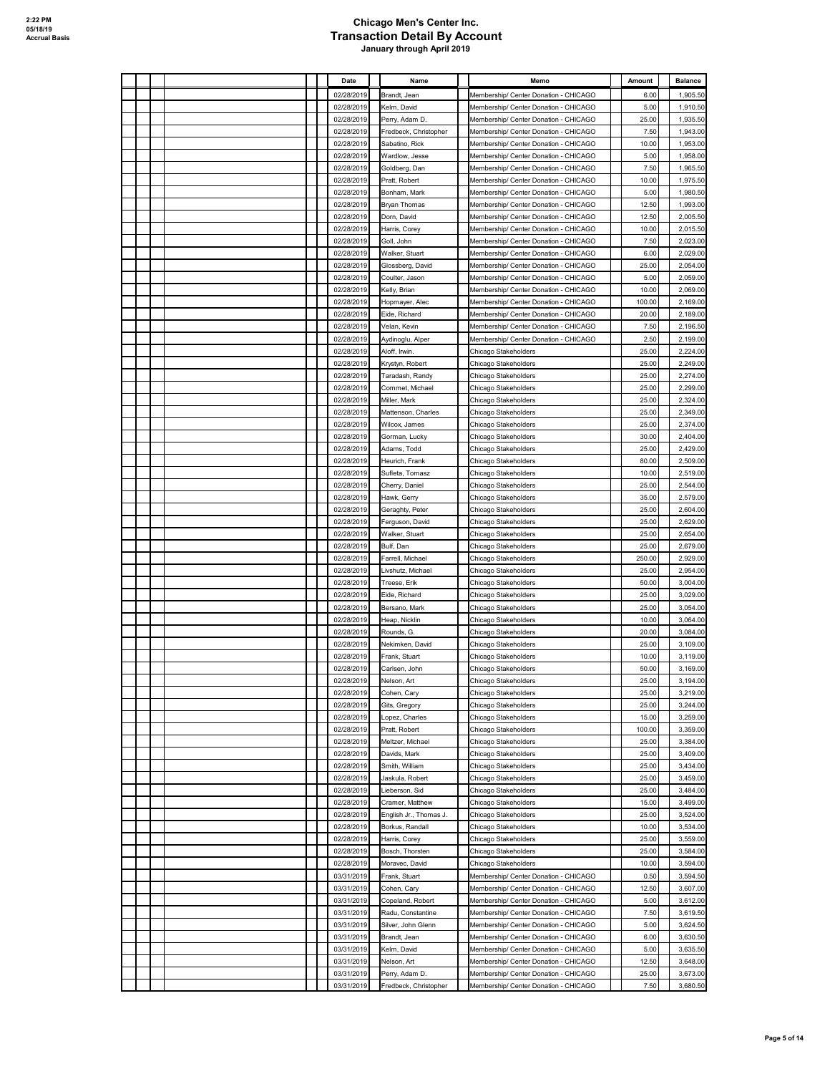|  |  |  | Date       | Name                   | Memo                                  | Amount | <b>Balance</b> |
|--|--|--|------------|------------------------|---------------------------------------|--------|----------------|
|  |  |  | 02/28/2019 | Brandt, Jean           | Membership/ Center Donation - CHICAGO | 6.00   | 1,905.50       |
|  |  |  | 02/28/2019 | Kelm, David            | Membership/ Center Donation - CHICAGO | 5.00   | 1,910.50       |
|  |  |  | 02/28/2019 | Perry, Adam D.         | Membership/ Center Donation - CHICAGO | 25.00  | 1,935.50       |
|  |  |  | 02/28/2019 | Fredbeck, Christopher  | Membership/ Center Donation - CHICAGO | 7.50   | 1,943.00       |
|  |  |  | 02/28/2019 | Sabatino, Rick         | Membership/ Center Donation - CHICAGO | 10.00  | 1,953.00       |
|  |  |  | 02/28/2019 | Wardlow, Jesse         | Membership/ Center Donation - CHICAGO | 5.00   | 1,958.00       |
|  |  |  | 02/28/2019 | Goldberg, Dan          | Membership/ Center Donation - CHICAGO | 7.50   | 1,965.50       |
|  |  |  | 02/28/2019 | Pratt, Robert          | Membership/ Center Donation - CHICAGO | 10.00  | 1,975.50       |
|  |  |  | 02/28/2019 | Bonham, Mark           | Membership/ Center Donation - CHICAGO | 5.00   | 1,980.50       |
|  |  |  | 02/28/2019 | <b>Bryan Thomas</b>    | Membership/ Center Donation - CHICAGO | 12.50  | 1,993.00       |
|  |  |  | 02/28/2019 | Dorn, David            | Membership/ Center Donation - CHICAGO | 12.50  | 2,005.50       |
|  |  |  | 02/28/2019 | Harris, Corey          | Membership/ Center Donation - CHICAGO | 10.00  | 2,015.50       |
|  |  |  | 02/28/2019 | Goll, John             | Membership/ Center Donation - CHICAGO | 7.50   | 2,023.00       |
|  |  |  | 02/28/2019 | Walker, Stuart         | Membership/ Center Donation - CHICAGO | 6.00   | 2,029.00       |
|  |  |  | 02/28/2019 | Glossberg, David       | Membership/ Center Donation - CHICAGO | 25.00  | 2,054.00       |
|  |  |  | 02/28/2019 | Coulter, Jason         | Membership/ Center Donation - CHICAGO | 5.00   | 2,059.00       |
|  |  |  | 02/28/2019 | Kelly, Brian           | Membership/ Center Donation - CHICAGO | 10.00  | 2,069.00       |
|  |  |  | 02/28/2019 | Hopmayer, Alec         | Membership/ Center Donation - CHICAGO | 100.00 | 2,169.00       |
|  |  |  | 02/28/2019 | Eide, Richard          | Membership/ Center Donation - CHICAGO | 20.00  | 2,189.00       |
|  |  |  | 02/28/2019 | Velan, Kevin           | Membership/ Center Donation - CHICAGO | 7.50   | 2,196.50       |
|  |  |  | 02/28/2019 | Aydinoglu, Alper       | Membership/ Center Donation - CHICAGO | 2.50   | 2,199.00       |
|  |  |  | 02/28/2019 | Aloff, Irwin.          | Chicago Stakeholders                  | 25.00  | 2,224.00       |
|  |  |  | 02/28/2019 | Krystyn, Robert        | Chicago Stakeholders                  | 25.00  | 2,249.00       |
|  |  |  | 02/28/2019 | Taradash, Randy        | Chicago Stakeholders                  | 25.00  | 2,274.00       |
|  |  |  | 02/28/2019 | Commet, Michael        | Chicago Stakeholders                  | 25.00  | 2,299.00       |
|  |  |  | 02/28/2019 | Miller, Mark           | Chicago Stakeholders                  | 25.00  | 2,324.00       |
|  |  |  | 02/28/2019 | Mattenson, Charles     | Chicago Stakeholders                  | 25.00  | 2,349.00       |
|  |  |  | 02/28/2019 | Wilcox, James          | Chicago Stakeholders                  | 25.00  | 2,374.00       |
|  |  |  | 02/28/2019 | Gorman, Lucky          | Chicago Stakeholders                  | 30.00  | 2,404.00       |
|  |  |  | 02/28/2019 | Adams, Todd            | Chicago Stakeholders                  | 25.00  | 2,429.00       |
|  |  |  |            |                        |                                       | 80.00  | 2,509.00       |
|  |  |  | 02/28/2019 | Heurich, Frank         | Chicago Stakeholders                  |        |                |
|  |  |  | 02/28/2019 | Sufleta, Tomasz        | Chicago Stakeholders                  | 10.00  | 2,519.00       |
|  |  |  | 02/28/2019 | Cherry, Daniel         | Chicago Stakeholders                  | 25.00  | 2,544.00       |
|  |  |  | 02/28/2019 | Hawk, Gerry            | Chicago Stakeholders                  | 35.00  | 2,579.00       |
|  |  |  | 02/28/2019 | Geraghty, Peter        | Chicago Stakeholders                  | 25.00  | 2,604.00       |
|  |  |  | 02/28/2019 | Ferguson, David        | Chicago Stakeholders                  | 25.00  | 2,629.00       |
|  |  |  | 02/28/2019 | Walker, Stuart         | Chicago Stakeholders                  | 25.00  | 2,654.00       |
|  |  |  | 02/28/2019 | Bulf, Dan              | Chicago Stakeholders                  | 25.00  | 2,679.00       |
|  |  |  | 02/28/2019 | Farrell, Michael       | Chicago Stakeholders                  | 250.00 | 2,929.00       |
|  |  |  | 02/28/2019 | Livshutz, Michael      | Chicago Stakeholders                  | 25.00  | 2,954.00       |
|  |  |  | 02/28/2019 | Treese, Erik           | Chicago Stakeholders                  | 50.00  | 3,004.00       |
|  |  |  | 02/28/2019 | Eide, Richard          | Chicago Stakeholders                  | 25.00  | 3,029.00       |
|  |  |  | 02/28/2019 | Bersano, Mark          | Chicago Stakeholders                  | 25.00  | 3,054.00       |
|  |  |  | 02/28/2019 | Heap, Nicklin          | Chicago Stakeholders                  | 10.00  | 3,064.00       |
|  |  |  | 02/28/2019 | Rounds, G.             | Chicago Stakeholders                  | 20.00  | 3,084.00       |
|  |  |  | 02/28/2019 | Nekimken, David        | Chicago Stakeholders                  | 25.00  | 3,109.00       |
|  |  |  | 02/28/2019 | Frank, Stuart          | Chicago Stakeholders                  | 10.00  | 3,119.00       |
|  |  |  | 02/28/2019 | Carlsen, John          | Chicago Stakeholders                  | 50.00  | 3,169.00       |
|  |  |  | 02/28/2019 | Nelson, Art            | Chicago Stakeholders                  | 25.00  | 3.194.00       |
|  |  |  | 02/28/2019 | Cohen, Cary            | Chicago Stakeholders                  | 25.00  | 3,219.00       |
|  |  |  | 02/28/2019 | Gits, Gregory          | Chicago Stakeholders                  | 25.00  | 3,244.00       |
|  |  |  | 02/28/2019 | Lopez, Charles         | Chicago Stakeholders                  | 15.00  | 3,259.00       |
|  |  |  | 02/28/2019 | Pratt, Robert          | Chicago Stakeholders                  | 100.00 | 3,359.00       |
|  |  |  | 02/28/2019 | Meltzer, Michael       | Chicago Stakeholders                  | 25.00  | 3,384.00       |
|  |  |  | 02/28/2019 | Davids, Mark           | Chicago Stakeholders                  | 25.00  | 3,409.00       |
|  |  |  | 02/28/2019 | Smith, William         | Chicago Stakeholders                  | 25.00  | 3,434.00       |
|  |  |  | 02/28/2019 | Jaskula, Robert        | Chicago Stakeholders                  | 25.00  | 3,459.00       |
|  |  |  | 02/28/2019 | Lieberson, Sid         | Chicago Stakeholders                  | 25.00  | 3,484.00       |
|  |  |  | 02/28/2019 | Cramer, Matthew        | Chicago Stakeholders                  | 15.00  | 3,499.00       |
|  |  |  | 02/28/2019 | English Jr., Thomas J. | Chicago Stakeholders                  | 25.00  | 3,524.00       |
|  |  |  | 02/28/2019 | Borkus, Randall        | Chicago Stakeholders                  | 10.00  | 3,534.00       |
|  |  |  | 02/28/2019 | Harris, Corey          | Chicago Stakeholders                  | 25.00  | 3,559.00       |
|  |  |  | 02/28/2019 | Bosch, Thorsten        | Chicago Stakeholders                  | 25.00  | 3,584.00       |
|  |  |  | 02/28/2019 | Moravec, David         | Chicago Stakeholders                  | 10.00  | 3,594.00       |
|  |  |  | 03/31/2019 | Frank, Stuart          | Membership/ Center Donation - CHICAGO | 0.50   | 3,594.50       |
|  |  |  | 03/31/2019 | Cohen, Cary            | Membership/ Center Donation - CHICAGO | 12.50  | 3,607.00       |
|  |  |  | 03/31/2019 | Copeland, Robert       | Membership/ Center Donation - CHICAGO | 5.00   | 3,612.00       |
|  |  |  | 03/31/2019 | Radu, Constantine      | Membership/ Center Donation - CHICAGO | 7.50   | 3,619.50       |
|  |  |  | 03/31/2019 | Silver, John Glenn     | Membership/ Center Donation - CHICAGO | 5.00   | 3,624.50       |
|  |  |  | 03/31/2019 | Brandt, Jean           | Membership/ Center Donation - CHICAGO | 6.00   | 3,630.50       |
|  |  |  | 03/31/2019 | Kelm, David            | Membership/ Center Donation - CHICAGO | 5.00   | 3,635.50       |
|  |  |  | 03/31/2019 | Nelson, Art            | Membership/ Center Donation - CHICAGO | 12.50  | 3,648.00       |
|  |  |  | 03/31/2019 | Perry, Adam D.         | Membership/ Center Donation - CHICAGO | 25.00  | 3,673.00       |
|  |  |  | 03/31/2019 | Fredbeck, Christopher  | Membership/ Center Donation - CHICAGO | 7.50   | 3,680.50       |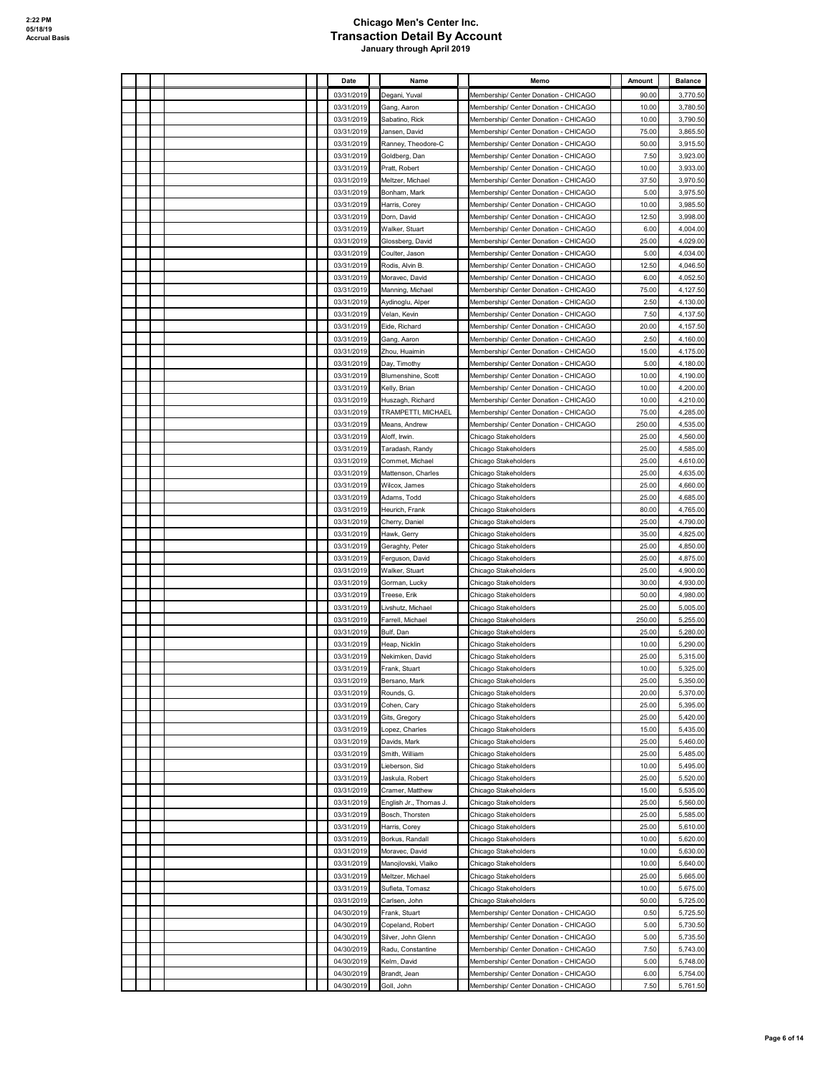|  |  |  | Date       | Name                   | Memo                                  | Amount | <b>Balance</b> |
|--|--|--|------------|------------------------|---------------------------------------|--------|----------------|
|  |  |  | 03/31/2019 | Degani, Yuval          | Membership/ Center Donation - CHICAGO | 90.00  | 3,770.50       |
|  |  |  | 03/31/2019 | Gang, Aaron            | Membership/ Center Donation - CHICAGO | 10.00  | 3,780.50       |
|  |  |  | 03/31/2019 | Sabatino, Rick         | Membership/ Center Donation - CHICAGO | 10.00  | 3,790.50       |
|  |  |  | 03/31/2019 | Jansen, David          | Membership/ Center Donation - CHICAGO | 75.00  | 3,865.50       |
|  |  |  | 03/31/2019 | Ranney, Theodore-C     | Membership/ Center Donation - CHICAGO | 50.00  | 3,915.50       |
|  |  |  | 03/31/2019 | Goldberg, Dan          | Membership/ Center Donation - CHICAGO | 7.50   | 3,923.00       |
|  |  |  | 03/31/2019 | Pratt, Robert          | Membership/ Center Donation - CHICAGO | 10.00  | 3,933.00       |
|  |  |  | 03/31/2019 | Meltzer, Michael       | Membership/ Center Donation - CHICAGO | 37.50  | 3,970.50       |
|  |  |  | 03/31/2019 | Bonham, Mark           | Membership/ Center Donation - CHICAGO | 5.00   | 3,975.50       |
|  |  |  | 03/31/2019 | Harris, Corey          | Membership/ Center Donation - CHICAGO | 10.00  | 3,985.50       |
|  |  |  | 03/31/2019 | Dorn, David            | Membership/ Center Donation - CHICAGO | 12.50  | 3,998.00       |
|  |  |  | 03/31/2019 | Walker, Stuart         | Membership/ Center Donation - CHICAGO | 6.00   | 4.004.00       |
|  |  |  | 03/31/2019 | Glossberg, David       | Membership/ Center Donation - CHICAGO | 25.00  | 4.029.00       |
|  |  |  | 03/31/2019 | Coulter, Jason         | Membership/ Center Donation - CHICAGO | 5.00   | 4.034.00       |
|  |  |  | 03/31/2019 | Rodis, Alvin B.        | Membership/ Center Donation - CHICAGO | 12.50  | 4.046.50       |
|  |  |  | 03/31/2019 | Moravec, David         | Membership/ Center Donation - CHICAGO | 6.00   | 4,052.50       |
|  |  |  | 03/31/2019 | Manning, Michael       | Membership/ Center Donation - CHICAGO | 75.00  | 4,127.50       |
|  |  |  | 03/31/2019 | Aydinoglu, Alper       | Membership/ Center Donation - CHICAGO | 2.50   | 4,130.00       |
|  |  |  | 03/31/2019 | Velan, Kevin           | Membership/ Center Donation - CHICAGO | 7.50   | 4,137.50       |
|  |  |  | 03/31/2019 | Eide, Richard          | Membership/ Center Donation - CHICAGO | 20.00  | 4,157.50       |
|  |  |  | 03/31/2019 | Gang, Aaron            | Membership/ Center Donation - CHICAGO | 2.50   | 4,160.00       |
|  |  |  | 03/31/2019 | Zhou, Huaimin          | Membership/ Center Donation - CHICAGO | 15.00  | 4,175.00       |
|  |  |  | 03/31/2019 | Day, Timothy           | Membership/ Center Donation - CHICAGO | 5.00   | 4,180.00       |
|  |  |  | 03/31/2019 | Blumenshine, Scott     | Membership/ Center Donation - CHICAGO | 10.00  | 4,190.00       |
|  |  |  | 03/31/2019 | Kelly, Brian           | Membership/ Center Donation - CHICAGO | 10.00  | 4.200.00       |
|  |  |  | 03/31/2019 | Huszagh, Richard       | Membership/ Center Donation - CHICAGO | 10.00  | 4,210.00       |
|  |  |  | 03/31/2019 | TRAMPETTI, MICHAEL     | Membership/ Center Donation - CHICAGO | 75.00  | 4,285.00       |
|  |  |  | 03/31/2019 | Means, Andrew          | Membership/ Center Donation - CHICAGO | 250.00 | 4,535.00       |
|  |  |  | 03/31/2019 | Aloff, Irwin.          | Chicago Stakeholders                  | 25.00  | 4,560.00       |
|  |  |  | 03/31/2019 | Taradash, Randy        | Chicago Stakeholders                  | 25.00  | 4,585.00       |
|  |  |  | 03/31/2019 | Commet, Michael        | Chicago Stakeholders                  | 25.00  | 4.610.00       |
|  |  |  | 03/31/2019 | Mattenson, Charles     | Chicago Stakeholders                  | 25.00  | 4,635.00       |
|  |  |  | 03/31/2019 | Wilcox, James          | Chicago Stakeholders                  | 25.00  | 4,660.00       |
|  |  |  | 03/31/2019 | Adams, Todd            | Chicago Stakeholders                  | 25.00  | 4,685.00       |
|  |  |  | 03/31/2019 | Heurich, Frank         | Chicago Stakeholders                  | 80.00  | 4,765.00       |
|  |  |  | 03/31/2019 | Cherry, Daniel         | Chicago Stakeholders                  | 25.00  | 4,790.00       |
|  |  |  | 03/31/2019 | Hawk, Gerry            | Chicago Stakeholders                  | 35.00  | 4,825.00       |
|  |  |  | 03/31/2019 | Geraghty, Peter        | Chicago Stakeholders                  | 25.00  | 4,850.00       |
|  |  |  | 03/31/2019 | Ferguson, David        | Chicago Stakeholders                  | 25.00  | 4,875.00       |
|  |  |  | 03/31/2019 | Walker, Stuart         | Chicago Stakeholders                  | 25.00  | 4,900.00       |
|  |  |  | 03/31/2019 | Gorman, Lucky          | Chicago Stakeholders                  | 30.00  | 4,930.00       |
|  |  |  | 03/31/2019 | Treese, Erik           | Chicago Stakeholders                  | 50.00  | 4,980.00       |
|  |  |  | 03/31/2019 | Livshutz, Michael      | Chicago Stakeholders                  | 25.00  | 5.005.00       |
|  |  |  | 03/31/2019 | Farrell, Michael       | Chicago Stakeholders                  | 250.00 | 5,255.00       |
|  |  |  | 03/31/2019 | Bulf, Dan              | Chicago Stakeholders                  | 25.00  | 5,280.00       |
|  |  |  | 03/31/2019 | Heap, Nicklin          | Chicago Stakeholders                  | 10.00  | 5,290.00       |
|  |  |  | 03/31/2019 | Nekimken, David        | Chicago Stakeholders                  | 25.00  | 5,315.00       |
|  |  |  | 03/31/2019 | Frank, Stuart          | Chicago Stakeholders                  | 10.00  | 5,325.00       |
|  |  |  | 03/31/2019 | <b>Bersano Mark</b>    | Chicago Stakeholders                  | 25.00  | 5.350.00       |
|  |  |  | 03/31/2019 | Rounds, G.             | Chicago Stakeholders                  | 20.00  | 5,370.00       |
|  |  |  | 03/31/2019 | Cohen, Cary            | Chicago Stakeholders                  | 25.00  | 5,395.00       |
|  |  |  | 03/31/2019 | Gits, Gregory          | Chicago Stakeholders                  | 25.00  | 5,420.00       |
|  |  |  | 03/31/2019 | Lopez, Charles         | Chicago Stakeholders                  | 15.00  | 5,435.00       |
|  |  |  | 03/31/2019 | Davids, Mark           | Chicago Stakeholders                  | 25.00  | 5,460.00       |
|  |  |  | 03/31/2019 | Smith, William         | Chicago Stakeholders                  | 25.00  | 5,485.00       |
|  |  |  | 03/31/2019 | Lieberson, Sid         | Chicago Stakeholders                  | 10.00  | 5,495.00       |
|  |  |  | 03/31/2019 | Jaskula, Robert        | Chicago Stakeholders                  | 25.00  | 5,520.00       |
|  |  |  | 03/31/2019 | Cramer, Matthew        | Chicago Stakeholders                  | 15.00  | 5,535.00       |
|  |  |  | 03/31/2019 | English Jr., Thomas J. | Chicago Stakeholders                  | 25.00  | 5,560.00       |
|  |  |  | 03/31/2019 | Bosch, Thorsten        | Chicago Stakeholders                  | 25.00  | 5,585.00       |
|  |  |  | 03/31/2019 | Harris, Corey          | Chicago Stakeholders                  | 25.00  | 5,610.00       |
|  |  |  | 03/31/2019 | Borkus, Randall        | Chicago Stakeholders                  | 10.00  | 5,620.00       |
|  |  |  | 03/31/2019 | Moravec, David         | Chicago Stakeholders                  | 10.00  | 5,630.00       |
|  |  |  | 03/31/2019 | Manojlovski, Vlaiko    | Chicago Stakeholders                  | 10.00  | 5,640.00       |
|  |  |  | 03/31/2019 | Meltzer, Michael       | Chicago Stakeholders                  | 25.00  | 5,665.00       |
|  |  |  | 03/31/2019 | Sufleta, Tomasz        | Chicago Stakeholders                  | 10.00  | 5,675.00       |
|  |  |  | 03/31/2019 | Carlsen, John          | Chicago Stakeholders                  | 50.00  | 5,725.00       |
|  |  |  | 04/30/2019 | Frank, Stuart          | Membership/ Center Donation - CHICAGO | 0.50   | 5,725.50       |
|  |  |  | 04/30/2019 | Copeland, Robert       | Membership/ Center Donation - CHICAGO | 5.00   | 5,730.50       |
|  |  |  | 04/30/2019 | Silver, John Glenn     | Membership/ Center Donation - CHICAGO | 5.00   | 5,735.50       |
|  |  |  | 04/30/2019 | Radu, Constantine      | Membership/ Center Donation - CHICAGO | 7.50   | 5,743.00       |
|  |  |  | 04/30/2019 | Kelm, David            | Membership/ Center Donation - CHICAGO | 5.00   | 5,748.00       |
|  |  |  | 04/30/2019 | Brandt, Jean           | Membership/ Center Donation - CHICAGO | 6.00   | 5,754.00       |
|  |  |  | 04/30/2019 | Goll, John             | Membership/ Center Donation - CHICAGO | 7.50   | 5,761.50       |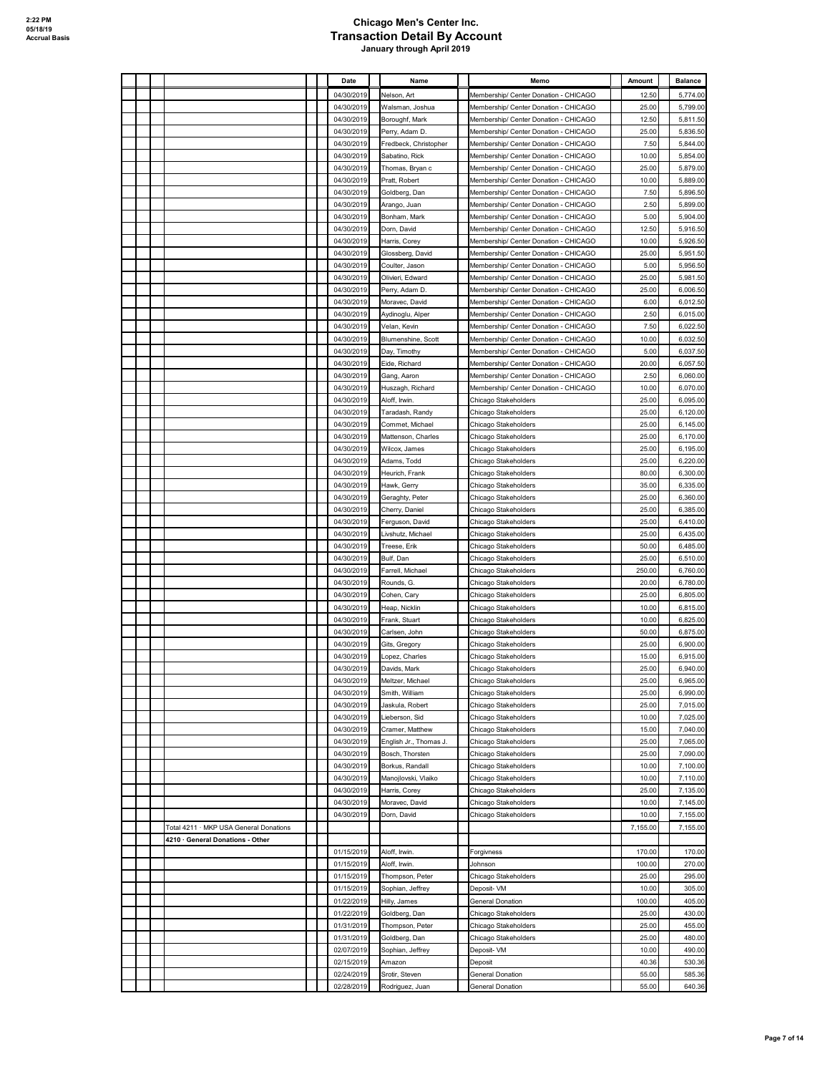|  |                                        |  | Date                     | Name                                | Memo                                                                           | Amount         | <b>Balance</b>       |
|--|----------------------------------------|--|--------------------------|-------------------------------------|--------------------------------------------------------------------------------|----------------|----------------------|
|  |                                        |  | 04/30/2019               | Nelson, Art                         | Membership/ Center Donation - CHICAGO                                          | 12.50          | 5,774.00             |
|  |                                        |  | 04/30/2019               | Walsman, Joshua                     | Membership/ Center Donation - CHICAGO                                          | 25.00          | 5,799.00             |
|  |                                        |  | 04/30/2019               | Boroughf, Mark                      | Membership/ Center Donation - CHICAGO                                          | 12.50          | 5,811.50             |
|  |                                        |  | 04/30/2019               | Perry, Adam D.                      | Membership/ Center Donation - CHICAGO                                          | 25.00          | 5,836.50             |
|  |                                        |  | 04/30/2019               | Fredbeck, Christopher               | Membership/ Center Donation - CHICAGO                                          | 7.50           | 5,844.00             |
|  |                                        |  | 04/30/2019               | Sabatino, Rick                      | Membership/ Center Donation - CHICAGO                                          | 10.00          | 5,854.00             |
|  |                                        |  | 04/30/2019               | Thomas, Bryan c                     | Membership/ Center Donation - CHICAGO                                          | 25.00          | 5,879.00             |
|  |                                        |  | 04/30/2019               | Pratt, Robert                       | Membership/ Center Donation - CHICAGO                                          | 10.00          | 5,889.00             |
|  |                                        |  | 04/30/2019               | Goldberg, Dan                       | Membership/ Center Donation - CHICAGO                                          | 7.50           | 5,896.50             |
|  |                                        |  | 04/30/2019               | Arango, Juan                        | Membership/ Center Donation - CHICAGO                                          | 2.50           | 5,899.00             |
|  |                                        |  | 04/30/2019               | Bonham, Mark                        | Membership/ Center Donation - CHICAGO                                          | 5.00           | 5,904.00             |
|  |                                        |  | 04/30/2019<br>04/30/2019 | Dorn, David<br>Harris, Corey        | Membership/ Center Donation - CHICAGO<br>Membership/ Center Donation - CHICAGO | 12.50<br>10.00 | 5,916.50<br>5,926.50 |
|  |                                        |  | 04/30/2019               | Glossberg, David                    | Membership/ Center Donation - CHICAGO                                          | 25.00          | 5,951.50             |
|  |                                        |  | 04/30/2019               | Coulter, Jason                      | Membership/ Center Donation - CHICAGO                                          | 5.00           | 5,956.50             |
|  |                                        |  | 04/30/2019               | Olivieri, Edward                    | Membership/ Center Donation - CHICAGO                                          | 25.00          | 5,981.50             |
|  |                                        |  | 04/30/2019               | Perry, Adam D.                      | Membership/ Center Donation - CHICAGO                                          | 25.00          | 6,006.50             |
|  |                                        |  | 04/30/2019               | Moravec, David                      | Membership/ Center Donation - CHICAGO                                          | 6.00           | 6,012.50             |
|  |                                        |  | 04/30/2019               | Aydinoglu, Alper                    | Membership/ Center Donation - CHICAGO                                          | 2.50           | 6,015.00             |
|  |                                        |  | 04/30/2019               | Velan, Kevin                        | Membership/ Center Donation - CHICAGO                                          | 7.50           | 6,022.50             |
|  |                                        |  | 04/30/2019               | Blumenshine, Scott                  | Membership/ Center Donation - CHICAGO                                          | 10.00          | 6,032.50             |
|  |                                        |  | 04/30/2019               | Day, Timothy                        | Membership/ Center Donation - CHICAGO                                          | 5.00           | 6,037.50             |
|  |                                        |  | 04/30/2019               | Eide, Richard                       | Membership/ Center Donation - CHICAGO                                          | 20.00          | 6,057.50             |
|  |                                        |  | 04/30/2019               | Gang, Aaron                         | Membership/ Center Donation - CHICAGO                                          | 2.50           | 6,060.00             |
|  |                                        |  | 04/30/2019               | Huszagh, Richard                    | Membership/ Center Donation - CHICAGO                                          | 10.00          | 6,070.00             |
|  |                                        |  | 04/30/2019               | Aloff, Irwin.                       | Chicago Stakeholders                                                           | 25.00          | 6,095.00             |
|  |                                        |  | 04/30/2019               | Taradash, Randy                     | Chicago Stakeholders                                                           | 25.00          | 6,120.00             |
|  |                                        |  | 04/30/2019<br>04/30/2019 | Commet, Michael                     | Chicago Stakeholders                                                           | 25.00<br>25.00 | 6,145.00<br>6,170.00 |
|  |                                        |  | 04/30/2019               | Mattenson, Charles<br>Wilcox, James | Chicago Stakeholders<br>Chicago Stakeholders                                   | 25.00          | 6,195.00             |
|  |                                        |  | 04/30/2019               | Adams, Todd                         | Chicago Stakeholders                                                           | 25.00          | 6,220.00             |
|  |                                        |  | 04/30/2019               | Heurich, Frank                      | Chicago Stakeholders                                                           | 80.00          | 6,300.00             |
|  |                                        |  | 04/30/2019               | Hawk, Gerry                         | Chicago Stakeholders                                                           | 35.00          | 6,335.00             |
|  |                                        |  | 04/30/2019               | Geraghty, Peter                     | Chicago Stakeholders                                                           | 25.00          | 6,360.00             |
|  |                                        |  | 04/30/2019               | Cherry, Daniel                      | Chicago Stakeholders                                                           | 25.00          | 6,385.00             |
|  |                                        |  | 04/30/2019               | Ferguson, David                     | Chicago Stakeholders                                                           | 25.00          | 6,410.00             |
|  |                                        |  | 04/30/2019               | Livshutz, Michael                   | Chicago Stakeholders                                                           | 25.00          | 6,435.00             |
|  |                                        |  | 04/30/2019               | Treese, Erik                        | Chicago Stakeholders                                                           | 50.00          | 6,485.00             |
|  |                                        |  | 04/30/2019               | Bulf, Dan                           | Chicago Stakeholders                                                           | 25.00          | 6,510.00             |
|  |                                        |  | 04/30/2019               | Farrell, Michael                    | Chicago Stakeholders                                                           | 250.00         | 6,760.00             |
|  |                                        |  | 04/30/2019               | Rounds, G.                          | Chicago Stakeholders                                                           | 20.00          | 6,780.00             |
|  |                                        |  | 04/30/2019               | Cohen, Cary                         | Chicago Stakeholders                                                           | 25.00          | 6,805.00             |
|  |                                        |  | 04/30/2019               | Heap, Nicklin                       | Chicago Stakeholders                                                           | 10.00          | 6,815.00             |
|  |                                        |  | 04/30/2019<br>04/30/2019 | Frank, Stuart<br>Carlsen, John      | Chicago Stakeholders<br>Chicago Stakeholders                                   | 10.00<br>50.00 | 6,825.00<br>6,875.00 |
|  |                                        |  | 04/30/2019               | Gits, Gregory                       | Chicago Stakeholders                                                           | 25.00          | 6,900.00             |
|  |                                        |  | 04/30/2019               | Lopez, Charles                      | Chicago Stakeholders                                                           | 15.00          | 6,915.00             |
|  |                                        |  | 04/30/2019               | Davids, Mark                        | Chicago Stakeholders                                                           | 25.00          | 6,940.00             |
|  |                                        |  | 04/30/2019               | Meltzer, Michael                    | Chicago Stakeholders                                                           | 25.00          | 6,965.00             |
|  |                                        |  | 04/30/2019               | Smith, William                      | Chicago Stakeholders                                                           | 25.00          | 6,990.00             |
|  |                                        |  | 04/30/2019               | Jaskula, Robert                     | Chicago Stakeholders                                                           | 25.00          | 7,015.00             |
|  |                                        |  | 04/30/2019               | Lieberson, Sid                      | Chicago Stakeholders                                                           | 10.00          | 7,025.00             |
|  |                                        |  | 04/30/2019               | Cramer, Matthew                     | Chicago Stakeholders                                                           | 15.00          | 7,040.00             |
|  |                                        |  | 04/30/2019               | English Jr., Thomas J.              | Chicago Stakeholders                                                           | 25.00          | 7,065.00             |
|  |                                        |  | 04/30/2019               | Bosch, Thorsten                     | Chicago Stakeholders                                                           | 25.00          | 7,090.00             |
|  |                                        |  | 04/30/2019               | Borkus, Randall                     | Chicago Stakeholders                                                           | 10.00          | 7,100.00             |
|  |                                        |  | 04/30/2019               | Manojlovski, Vlaiko                 | Chicago Stakeholders                                                           | 10.00          | 7,110.00             |
|  |                                        |  | 04/30/2019               | Harris, Corey                       | Chicago Stakeholders                                                           | 25.00          | 7,135.00             |
|  |                                        |  | 04/30/2019<br>04/30/2019 | Moravec, David<br>Dorn, David       | Chicago Stakeholders<br>Chicago Stakeholders                                   | 10.00<br>10.00 | 7,145.00<br>7,155.00 |
|  | Total 4211 · MKP USA General Donations |  |                          |                                     |                                                                                | 7,155.00       | 7,155.00             |
|  | 4210 · General Donations - Other       |  |                          |                                     |                                                                                |                |                      |
|  |                                        |  | 01/15/2019               | Aloff, Irwin.                       | Forgivness                                                                     | 170.00         | 170.00               |
|  |                                        |  | 01/15/2019               | Aloff, Irwin.                       | Johnson                                                                        | 100.00         | 270.00               |
|  |                                        |  | 01/15/2019               | Thompson, Peter                     | Chicago Stakeholders                                                           | 25.00          | 295.00               |
|  |                                        |  | 01/15/2019               | Sophian, Jeffrey                    | Deposit- VM                                                                    | 10.00          | 305.00               |
|  |                                        |  | 01/22/2019               | Hilly, James                        | General Donation                                                               | 100.00         | 405.00               |
|  |                                        |  | 01/22/2019               | Goldberg, Dan                       | Chicago Stakeholders                                                           | 25.00          | 430.00               |
|  |                                        |  | 01/31/2019               | Thompson, Peter                     | Chicago Stakeholders                                                           | 25.00          | 455.00               |
|  |                                        |  | 01/31/2019               | Goldberg, Dan                       | Chicago Stakeholders                                                           | 25.00          | 480.00               |
|  |                                        |  | 02/07/2019               | Sophian, Jeffrey                    | Deposit- VM                                                                    | 10.00          | 490.00               |
|  |                                        |  | 02/15/2019               | Amazon                              | Deposit                                                                        | 40.36          | 530.36               |
|  |                                        |  | 02/24/2019               | Srotir, Steven                      | General Donation                                                               | 55.00          | 585.36               |
|  |                                        |  | 02/28/2019               | Rodriguez, Juan                     | General Donation                                                               | 55.00          | 640.36               |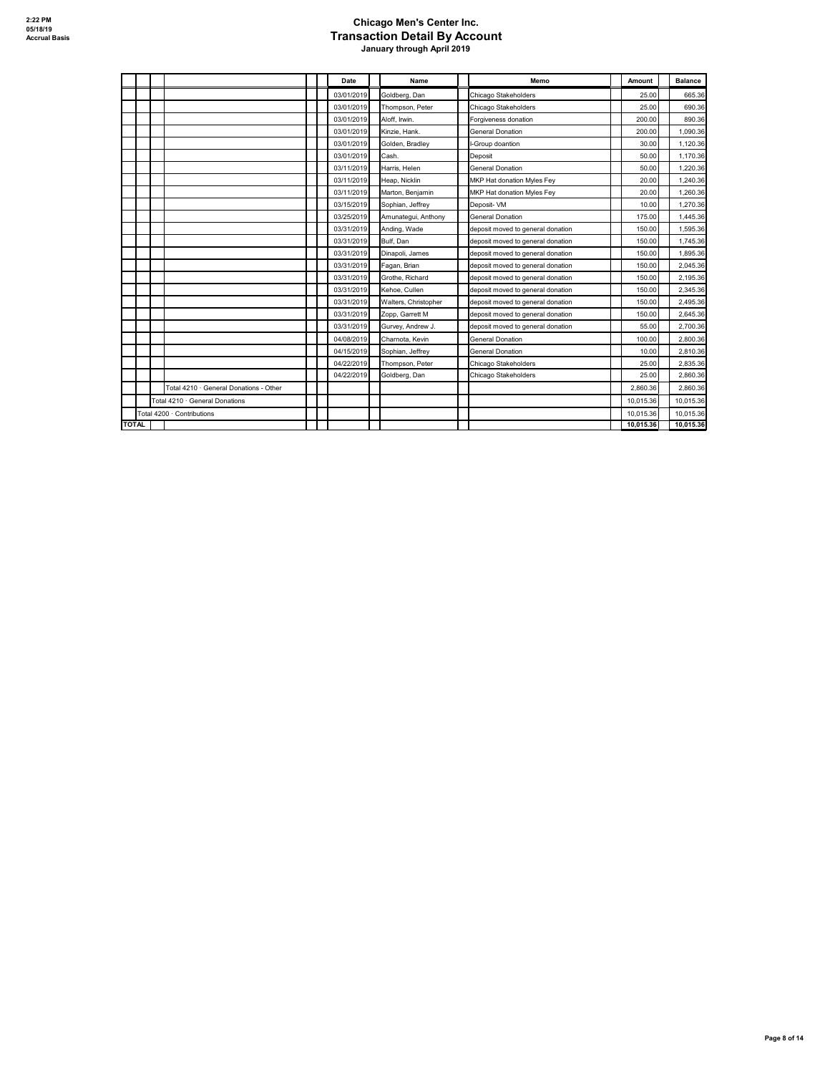|              |                                        |  | Date       | Name                 | Memo                              | Amount    | <b>Balance</b> |
|--------------|----------------------------------------|--|------------|----------------------|-----------------------------------|-----------|----------------|
|              |                                        |  | 03/01/2019 | Goldberg, Dan        | Chicago Stakeholders              | 25.00     | 665.36         |
|              |                                        |  | 03/01/2019 | Thompson, Peter      | Chicago Stakeholders              | 25.00     | 690.36         |
|              |                                        |  | 03/01/2019 | Aloff, Irwin.        | Forgiveness donation              | 200.00    | 890.36         |
|              |                                        |  | 03/01/2019 | Kinzie, Hank.        | General Donation                  | 200.00    | 1,090.36       |
|              |                                        |  | 03/01/2019 | Golden, Bradley      | I-Group doantion                  | 30.00     | 1,120.36       |
|              |                                        |  | 03/01/2019 | Cash.                | Deposit                           | 50.00     | 1,170.36       |
|              |                                        |  | 03/11/2019 | Harris, Helen        | <b>General Donation</b>           | 50.00     | 1.220.36       |
|              |                                        |  | 03/11/2019 | Heap, Nicklin        | MKP Hat donation Myles Fey        | 20.00     | 1.240.36       |
|              |                                        |  | 03/11/2019 | Marton, Beniamin     | MKP Hat donation Myles Fey        | 20.00     | 1.260.36       |
|              |                                        |  | 03/15/2019 | Sophian, Jeffrey     | Deposit- VM                       | 10.00     | 1,270.36       |
|              |                                        |  | 03/25/2019 | Amunategui, Anthony  | <b>General Donation</b>           | 175.00    | 1,445.36       |
|              |                                        |  | 03/31/2019 | Anding, Wade         | deposit moved to general donation | 150.00    | 1,595.36       |
|              |                                        |  | 03/31/2019 | Bulf. Dan            | deposit moved to general donation | 150.00    | 1,745.36       |
|              |                                        |  | 03/31/2019 | Dinapoli, James      | deposit moved to general donation | 150.00    | 1,895.36       |
|              |                                        |  | 03/31/2019 | Fagan, Brian         | deposit moved to general donation | 150.00    | 2.045.36       |
|              |                                        |  | 03/31/2019 | Grothe, Richard      | deposit moved to general donation | 150.00    | 2,195.36       |
|              |                                        |  | 03/31/2019 | Kehoe, Cullen        | deposit moved to general donation | 150.00    | 2,345.36       |
|              |                                        |  | 03/31/2019 | Walters, Christopher | deposit moved to general donation | 150.00    | 2,495.36       |
|              |                                        |  | 03/31/2019 | Zopp, Garrett M      | deposit moved to general donation | 150.00    | 2,645.36       |
|              |                                        |  | 03/31/2019 | Gurvey, Andrew J.    | deposit moved to general donation | 55.00     | 2,700.36       |
|              |                                        |  | 04/08/2019 | Charnota, Kevin      | <b>General Donation</b>           | 100.00    | 2,800.36       |
|              |                                        |  | 04/15/2019 | Sophian, Jeffrey     | General Donation                  | 10.00     | 2.810.36       |
|              |                                        |  | 04/22/2019 | Thompson, Peter      | Chicago Stakeholders              | 25.00     | 2.835.36       |
|              |                                        |  | 04/22/2019 | Goldberg, Dan        | Chicago Stakeholders              | 25.00     | 2,860.36       |
|              | Total 4210 · General Donations - Other |  |            |                      |                                   | 2.860.36  | 2.860.36       |
|              | Total 4210 · General Donations         |  |            |                      |                                   | 10.015.36 | 10,015.36      |
|              | Total 4200 · Contributions             |  |            |                      |                                   | 10.015.36 | 10.015.36      |
| <b>TOTAL</b> |                                        |  |            |                      |                                   | 10.015.36 | 10,015.36      |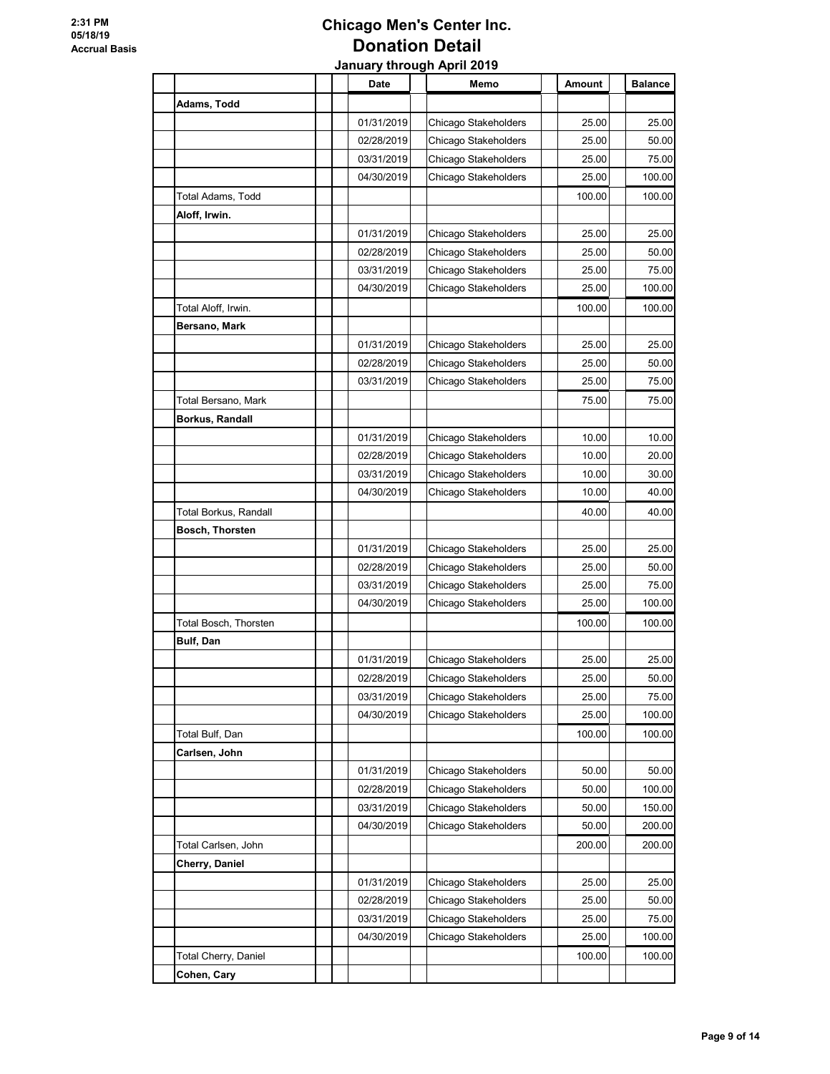|                       | Date       | Memo                 | Amount | <b>Balance</b> |
|-----------------------|------------|----------------------|--------|----------------|
| Adams, Todd           |            |                      |        |                |
|                       | 01/31/2019 | Chicago Stakeholders | 25.00  | 25.00          |
|                       | 02/28/2019 | Chicago Stakeholders | 25.00  | 50.00          |
|                       | 03/31/2019 | Chicago Stakeholders | 25.00  | 75.00          |
|                       | 04/30/2019 | Chicago Stakeholders | 25.00  | 100.00         |
| Total Adams, Todd     |            |                      | 100.00 | 100.00         |
| Aloff, Irwin.         |            |                      |        |                |
|                       | 01/31/2019 | Chicago Stakeholders | 25.00  | 25.00          |
|                       | 02/28/2019 | Chicago Stakeholders | 25.00  | 50.00          |
|                       | 03/31/2019 | Chicago Stakeholders | 25.00  | 75.00          |
|                       | 04/30/2019 | Chicago Stakeholders | 25.00  | 100.00         |
| Total Aloff, Irwin.   |            |                      | 100.00 | 100.00         |
| Bersano, Mark         |            |                      |        |                |
|                       | 01/31/2019 | Chicago Stakeholders | 25.00  | 25.00          |
|                       | 02/28/2019 | Chicago Stakeholders | 25.00  | 50.00          |
|                       | 03/31/2019 | Chicago Stakeholders | 25.00  | 75.00          |
| Total Bersano, Mark   |            |                      | 75.00  | 75.00          |
| Borkus, Randall       |            |                      |        |                |
|                       | 01/31/2019 | Chicago Stakeholders | 10.00  | 10.00          |
|                       | 02/28/2019 | Chicago Stakeholders | 10.00  | 20.00          |
|                       | 03/31/2019 | Chicago Stakeholders | 10.00  | 30.00          |
|                       | 04/30/2019 | Chicago Stakeholders | 10.00  | 40.00          |
| Total Borkus, Randall |            |                      | 40.00  | 40.00          |
| Bosch, Thorsten       |            |                      |        |                |
|                       | 01/31/2019 | Chicago Stakeholders | 25.00  | 25.00          |
|                       | 02/28/2019 | Chicago Stakeholders | 25.00  | 50.00          |
|                       | 03/31/2019 | Chicago Stakeholders | 25.00  | 75.00          |
|                       | 04/30/2019 | Chicago Stakeholders | 25.00  | 100.00         |
| Total Bosch, Thorsten |            |                      | 100.00 | 100.00         |
| <b>Bulf, Dan</b>      |            |                      |        |                |
|                       | 01/31/2019 | Chicago Stakeholders | 25.00  | 25.00          |
|                       | 02/28/2019 | Chicago Stakeholders | 25.00  | 50.00          |
|                       | 03/31/2019 | Chicago Stakeholders | 25.00  | 75.00          |
|                       | 04/30/2019 | Chicago Stakeholders | 25.00  | 100.00         |
| Total Bulf, Dan       |            |                      | 100.00 | 100.00         |
| Carlsen, John         |            |                      |        |                |
|                       | 01/31/2019 | Chicago Stakeholders | 50.00  | 50.00          |
|                       | 02/28/2019 | Chicago Stakeholders | 50.00  | 100.00         |
|                       | 03/31/2019 | Chicago Stakeholders | 50.00  | 150.00         |
|                       | 04/30/2019 | Chicago Stakeholders | 50.00  | 200.00         |
| Total Carlsen, John   |            |                      | 200.00 | 200.00         |
| Cherry, Daniel        |            |                      |        |                |
|                       | 01/31/2019 | Chicago Stakeholders | 25.00  | 25.00          |
|                       | 02/28/2019 | Chicago Stakeholders | 25.00  | 50.00          |
|                       | 03/31/2019 | Chicago Stakeholders | 25.00  | 75.00          |
|                       | 04/30/2019 | Chicago Stakeholders | 25.00  | 100.00         |
| Total Cherry, Daniel  |            |                      | 100.00 | 100.00         |
| Cohen, Cary           |            |                      |        |                |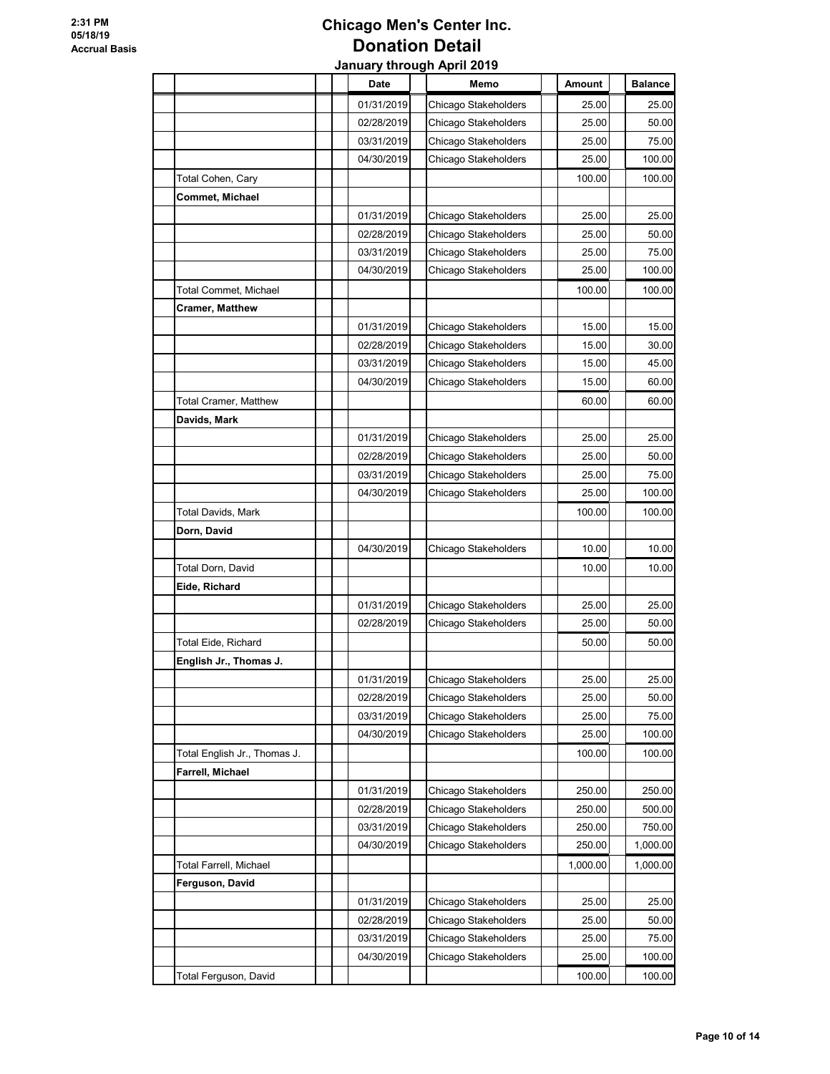#### **Chicago Men's Center Inc. Donation Detail**<br> *Duary through April* **20</u> January through April 2019**

|                              | Date       | Memo                 | Amount   | <b>Balance</b> |
|------------------------------|------------|----------------------|----------|----------------|
|                              | 01/31/2019 | Chicago Stakeholders | 25.00    | 25.00          |
|                              | 02/28/2019 | Chicago Stakeholders | 25.00    | 50.00          |
|                              | 03/31/2019 | Chicago Stakeholders | 25.00    | 75.00          |
|                              | 04/30/2019 | Chicago Stakeholders | 25.00    | 100.00         |
| Total Cohen, Cary            |            |                      | 100.00   | 100.00         |
| Commet, Michael              |            |                      |          |                |
|                              | 01/31/2019 | Chicago Stakeholders | 25.00    | 25.00          |
|                              | 02/28/2019 | Chicago Stakeholders | 25.00    | 50.00          |
|                              | 03/31/2019 | Chicago Stakeholders | 25.00    | 75.00          |
|                              | 04/30/2019 | Chicago Stakeholders | 25.00    | 100.00         |
| Total Commet, Michael        |            |                      | 100.00   | 100.00         |
| <b>Cramer, Matthew</b>       |            |                      |          |                |
|                              | 01/31/2019 | Chicago Stakeholders | 15.00    | 15.00          |
|                              | 02/28/2019 | Chicago Stakeholders | 15.00    | 30.00          |
|                              | 03/31/2019 | Chicago Stakeholders | 15.00    | 45.00          |
|                              | 04/30/2019 | Chicago Stakeholders | 15.00    | 60.00          |
| <b>Total Cramer, Matthew</b> |            |                      | 60.00    | 60.00          |
| Davids, Mark                 |            |                      |          |                |
|                              | 01/31/2019 | Chicago Stakeholders | 25.00    | 25.00          |
|                              | 02/28/2019 | Chicago Stakeholders | 25.00    | 50.00          |
|                              | 03/31/2019 | Chicago Stakeholders | 25.00    | 75.00          |
|                              | 04/30/2019 | Chicago Stakeholders | 25.00    | 100.00         |
| Total Davids, Mark           |            |                      | 100.00   | 100.00         |
| Dorn, David                  |            |                      |          |                |
|                              | 04/30/2019 | Chicago Stakeholders | 10.00    | 10.00          |
|                              |            |                      |          |                |
| Total Dorn, David            |            |                      | 10.00    | 10.00          |
| Eide, Richard                |            |                      |          |                |
|                              | 01/31/2019 | Chicago Stakeholders | 25.00    | 25.00<br>50.00 |
|                              | 02/28/2019 | Chicago Stakeholders | 25.00    |                |
| Total Eide, Richard          |            |                      | 50.00    | 50.00          |
| English Jr., Thomas J.       |            |                      |          |                |
|                              | 01/31/2019 | Chicago Stakeholders | 25.00    | 25.00          |
|                              | 02/28/2019 | Chicago Stakeholders | 25.00    | 50.00          |
|                              | 03/31/2019 | Chicago Stakeholders | 25.00    | 75.00          |
|                              | 04/30/2019 | Chicago Stakeholders | 25.00    | 100.00         |
| Total English Jr., Thomas J. |            |                      | 100.00   | 100.00         |
| Farrell, Michael             |            |                      |          |                |
|                              | 01/31/2019 | Chicago Stakeholders | 250.00   | 250.00         |
|                              | 02/28/2019 | Chicago Stakeholders | 250.00   | 500.00         |
|                              | 03/31/2019 | Chicago Stakeholders | 250.00   | 750.00         |
|                              | 04/30/2019 | Chicago Stakeholders | 250.00   | 1,000.00       |
| Total Farrell, Michael       |            |                      | 1,000.00 | 1,000.00       |
| Ferguson, David              |            |                      |          |                |
|                              | 01/31/2019 | Chicago Stakeholders | 25.00    | 25.00          |
|                              | 02/28/2019 | Chicago Stakeholders | 25.00    | 50.00          |
|                              | 03/31/2019 | Chicago Stakeholders | 25.00    | 75.00          |
|                              | 04/30/2019 | Chicago Stakeholders | 25.00    | 100.00         |
| Total Ferguson, David        |            |                      | 100.00   | 100.00         |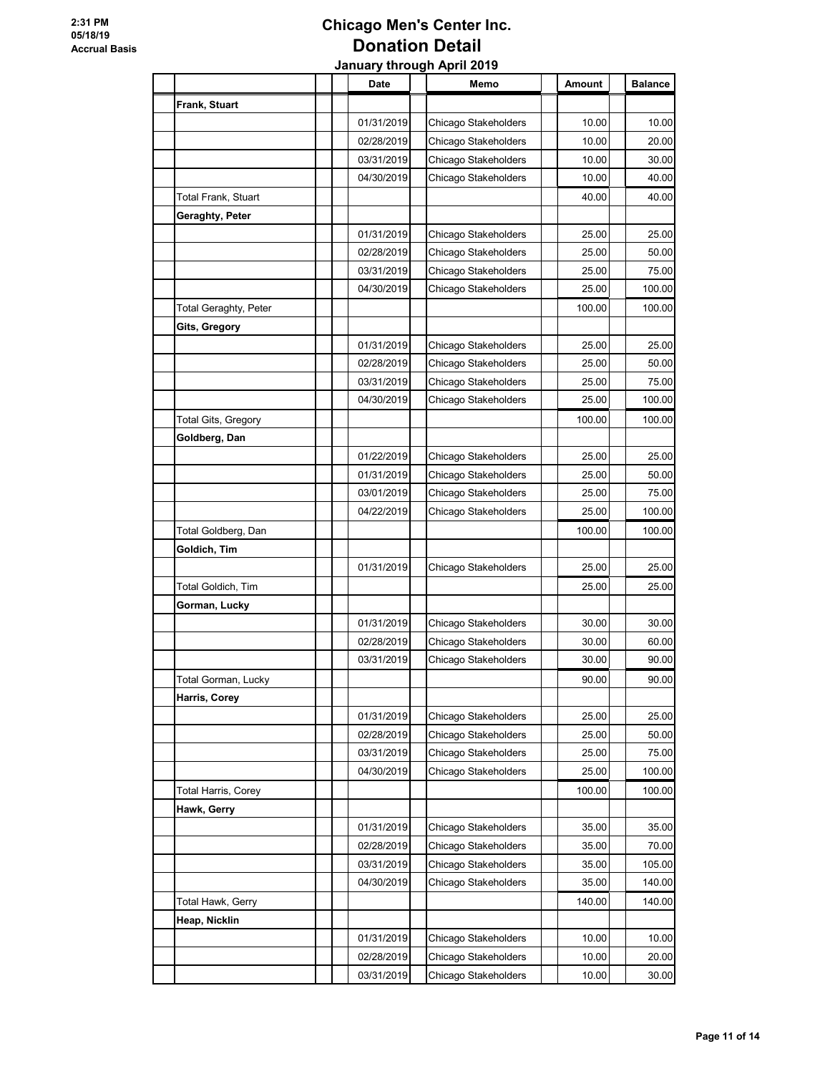|                              | Date       | Memo                 | Amount | <b>Balance</b> |
|------------------------------|------------|----------------------|--------|----------------|
| Frank, Stuart                |            |                      |        |                |
|                              | 01/31/2019 | Chicago Stakeholders | 10.00  | 10.00          |
|                              | 02/28/2019 | Chicago Stakeholders | 10.00  | 20.00          |
|                              | 03/31/2019 | Chicago Stakeholders | 10.00  | 30.00          |
|                              | 04/30/2019 | Chicago Stakeholders | 10.00  | 40.00          |
| Total Frank, Stuart          |            |                      | 40.00  | 40.00          |
| Geraghty, Peter              |            |                      |        |                |
|                              | 01/31/2019 | Chicago Stakeholders | 25.00  | 25.00          |
|                              | 02/28/2019 | Chicago Stakeholders | 25.00  | 50.00          |
|                              | 03/31/2019 | Chicago Stakeholders | 25.00  | 75.00          |
|                              | 04/30/2019 | Chicago Stakeholders | 25.00  | 100.00         |
| <b>Total Geraghty, Peter</b> |            |                      | 100.00 | 100.00         |
| Gits, Gregory                |            |                      |        |                |
|                              | 01/31/2019 | Chicago Stakeholders | 25.00  | 25.00          |
|                              | 02/28/2019 | Chicago Stakeholders | 25.00  | 50.00          |
|                              | 03/31/2019 | Chicago Stakeholders | 25.00  | 75.00          |
|                              | 04/30/2019 | Chicago Stakeholders | 25.00  | 100.00         |
| Total Gits, Gregory          |            |                      | 100.00 | 100.00         |
| Goldberg, Dan                |            |                      |        |                |
|                              | 01/22/2019 | Chicago Stakeholders | 25.00  | 25.00          |
|                              | 01/31/2019 | Chicago Stakeholders | 25.00  | 50.00          |
|                              | 03/01/2019 | Chicago Stakeholders | 25.00  | 75.00          |
|                              | 04/22/2019 | Chicago Stakeholders | 25.00  | 100.00         |
| Total Goldberg, Dan          |            |                      | 100.00 | 100.00         |
| Goldich, Tim                 |            |                      |        |                |
|                              | 01/31/2019 | Chicago Stakeholders | 25.00  | 25.00          |
| Total Goldich, Tim           |            |                      | 25.00  | 25.00          |
| Gorman, Lucky                |            |                      |        |                |
|                              | 01/31/2019 | Chicago Stakeholders | 30.00  | 30.00          |
|                              | 02/28/2019 | Chicago Stakeholders | 30.00  | 60.00          |
|                              | 03/31/2019 | Chicago Stakeholders | 30.00  | 90.00          |
| Total Gorman, Lucky          |            |                      | 90.00  | 90.00          |
| Harris, Corey                |            |                      |        |                |
|                              | 01/31/2019 | Chicago Stakeholders | 25.00  | 25.00          |
|                              | 02/28/2019 | Chicago Stakeholders | 25.00  | 50.00          |
|                              | 03/31/2019 | Chicago Stakeholders | 25.00  | 75.00          |
|                              | 04/30/2019 | Chicago Stakeholders | 25.00  | 100.00         |
| Total Harris, Corey          |            |                      | 100.00 | 100.00         |
| Hawk, Gerry                  |            |                      |        |                |
|                              | 01/31/2019 | Chicago Stakeholders | 35.00  | 35.00          |
|                              | 02/28/2019 | Chicago Stakeholders | 35.00  | 70.00          |
|                              | 03/31/2019 | Chicago Stakeholders | 35.00  | 105.00         |
|                              | 04/30/2019 | Chicago Stakeholders | 35.00  | 140.00         |
| Total Hawk, Gerry            |            |                      | 140.00 | 140.00         |
| Heap, Nicklin                |            |                      |        |                |
|                              | 01/31/2019 | Chicago Stakeholders | 10.00  | 10.00          |
|                              | 02/28/2019 | Chicago Stakeholders | 10.00  | 20.00          |
|                              | 03/31/2019 | Chicago Stakeholders | 10.00  | 30.00          |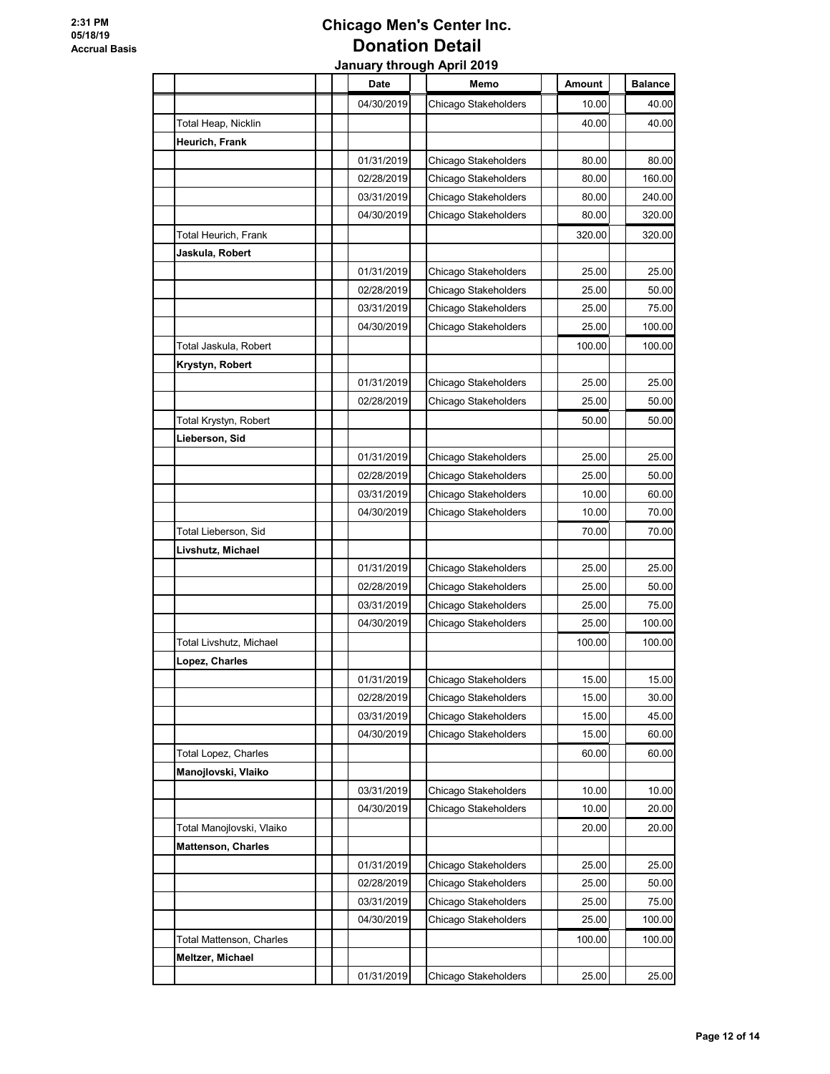|                           |  | Date       | Memo                 | Amount | <b>Balance</b> |
|---------------------------|--|------------|----------------------|--------|----------------|
|                           |  | 04/30/2019 | Chicago Stakeholders | 10.00  | 40.00          |
| Total Heap, Nicklin       |  |            |                      | 40.00  | 40.00          |
| Heurich, Frank            |  |            |                      |        |                |
|                           |  | 01/31/2019 | Chicago Stakeholders | 80.00  | 80.00          |
|                           |  | 02/28/2019 | Chicago Stakeholders | 80.00  | 160.00         |
|                           |  | 03/31/2019 | Chicago Stakeholders | 80.00  | 240.00         |
|                           |  | 04/30/2019 | Chicago Stakeholders | 80.00  | 320.00         |
| Total Heurich, Frank      |  |            |                      | 320.00 | 320.00         |
| Jaskula, Robert           |  |            |                      |        |                |
|                           |  | 01/31/2019 | Chicago Stakeholders | 25.00  | 25.00          |
|                           |  | 02/28/2019 | Chicago Stakeholders | 25.00  | 50.00          |
|                           |  | 03/31/2019 | Chicago Stakeholders | 25.00  | 75.00          |
|                           |  | 04/30/2019 | Chicago Stakeholders | 25.00  | 100.00         |
| Total Jaskula, Robert     |  |            |                      | 100.00 | 100.00         |
| Krystyn, Robert           |  |            |                      |        |                |
|                           |  | 01/31/2019 | Chicago Stakeholders | 25.00  | 25.00          |
|                           |  | 02/28/2019 | Chicago Stakeholders | 25.00  | 50.00          |
| Total Krystyn, Robert     |  |            |                      | 50.00  | 50.00          |
| Lieberson, Sid            |  |            |                      |        |                |
|                           |  | 01/31/2019 | Chicago Stakeholders | 25.00  | 25.00          |
|                           |  | 02/28/2019 | Chicago Stakeholders | 25.00  | 50.00          |
|                           |  | 03/31/2019 | Chicago Stakeholders | 10.00  | 60.00          |
|                           |  | 04/30/2019 | Chicago Stakeholders | 10.00  | 70.00          |
| Total Lieberson, Sid      |  |            |                      | 70.00  | 70.00          |
| Livshutz, Michael         |  |            |                      |        |                |
|                           |  | 01/31/2019 | Chicago Stakeholders | 25.00  | 25.00          |
|                           |  | 02/28/2019 | Chicago Stakeholders | 25.00  | 50.00          |
|                           |  | 03/31/2019 | Chicago Stakeholders | 25.00  | 75.00          |
|                           |  | 04/30/2019 | Chicago Stakeholders | 25.00  | 100.00         |
| Total Livshutz, Michael   |  |            |                      | 100.00 | 100.00         |
| Lopez, Charles            |  |            |                      |        |                |
|                           |  | 01/31/2019 | Chicago Stakeholders | 15.00  | 15.00          |
|                           |  | 02/28/2019 | Chicago Stakeholders | 15.00  | 30.00          |
|                           |  | 03/31/2019 | Chicago Stakeholders | 15.00  | 45.00          |
|                           |  | 04/30/2019 | Chicago Stakeholders | 15.00  | 60.00          |
| Total Lopez, Charles      |  |            |                      | 60.00  | 60.00          |
| Manojlovski, Vlaiko       |  |            |                      |        |                |
|                           |  | 03/31/2019 | Chicago Stakeholders | 10.00  | 10.00          |
|                           |  | 04/30/2019 | Chicago Stakeholders | 10.00  | 20.00          |
| Total Manojlovski, Vlaiko |  |            |                      | 20.00  | 20.00          |
| <b>Mattenson, Charles</b> |  |            |                      |        |                |
|                           |  | 01/31/2019 | Chicago Stakeholders | 25.00  | 25.00          |
|                           |  | 02/28/2019 | Chicago Stakeholders | 25.00  | 50.00          |
|                           |  | 03/31/2019 | Chicago Stakeholders | 25.00  | 75.00          |
|                           |  | 04/30/2019 | Chicago Stakeholders | 25.00  | 100.00         |
| Total Mattenson, Charles  |  |            |                      | 100.00 | 100.00         |
| Meltzer, Michael          |  |            |                      |        |                |
|                           |  | 01/31/2019 | Chicago Stakeholders | 25.00  | 25.00          |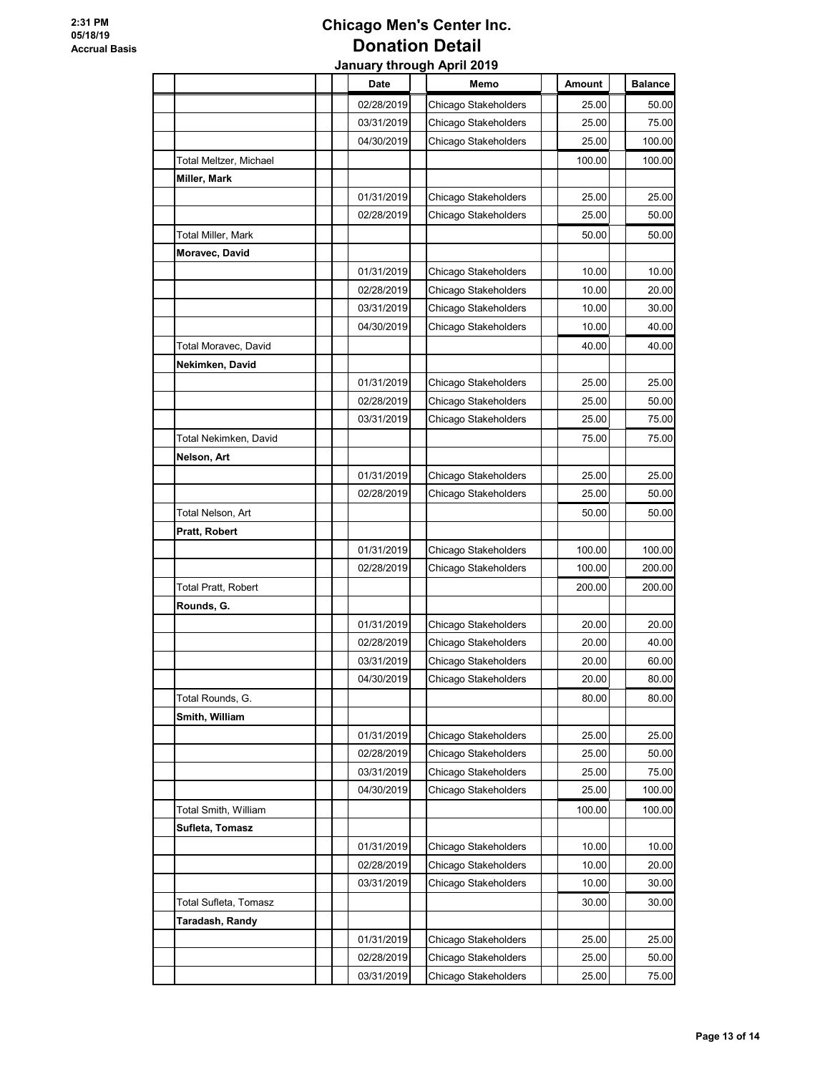|                                         |  | Date                     | Memo                                         | Amount         | <b>Balance</b>  |
|-----------------------------------------|--|--------------------------|----------------------------------------------|----------------|-----------------|
|                                         |  | 02/28/2019               | Chicago Stakeholders                         | 25.00          | 50.00           |
|                                         |  | 03/31/2019               | Chicago Stakeholders                         | 25.00          | 75.00           |
|                                         |  | 04/30/2019               | Chicago Stakeholders                         | 25.00          | 100.00          |
| Total Meltzer, Michael                  |  |                          |                                              | 100.00         | 100.00          |
| Miller, Mark                            |  |                          |                                              |                |                 |
|                                         |  | 01/31/2019               | Chicago Stakeholders                         | 25.00          | 25.00           |
|                                         |  | 02/28/2019               | Chicago Stakeholders                         | 25.00          | 50.00           |
| Total Miller, Mark                      |  |                          |                                              | 50.00          | 50.00           |
| Moravec, David                          |  |                          |                                              |                |                 |
|                                         |  | 01/31/2019               | Chicago Stakeholders                         | 10.00          | 10.00           |
|                                         |  | 02/28/2019               | Chicago Stakeholders                         | 10.00          | 20.00           |
|                                         |  | 03/31/2019               | Chicago Stakeholders                         | 10.00          | 30.00           |
|                                         |  | 04/30/2019               | Chicago Stakeholders                         | 10.00          | 40.00           |
| Total Moravec, David                    |  |                          |                                              | 40.00          | 40.00           |
| Nekimken, David                         |  |                          |                                              |                |                 |
|                                         |  | 01/31/2019               | Chicago Stakeholders                         | 25.00          | 25.00           |
|                                         |  | 02/28/2019               | Chicago Stakeholders                         | 25.00          | 50.00           |
|                                         |  | 03/31/2019               | Chicago Stakeholders                         | 25.00          | 75.00           |
| Total Nekimken, David                   |  |                          |                                              | 75.00          | 75.00           |
| Nelson, Art                             |  |                          |                                              |                |                 |
|                                         |  | 01/31/2019               | Chicago Stakeholders                         | 25.00          | 25.00           |
|                                         |  | 02/28/2019               | Chicago Stakeholders                         | 25.00          | 50.00           |
| Total Nelson, Art                       |  |                          |                                              | 50.00          | 50.00           |
| Pratt, Robert                           |  |                          |                                              |                |                 |
|                                         |  | 01/31/2019               | Chicago Stakeholders                         | 100.00         | 100.00          |
|                                         |  | 02/28/2019               | Chicago Stakeholders                         | 100.00         | 200.00          |
| Total Pratt, Robert                     |  |                          |                                              | 200.00         | 200.00          |
| Rounds, G.                              |  |                          |                                              |                |                 |
|                                         |  | 01/31/2019               | Chicago Stakeholders                         | 20.00          | 20.00           |
|                                         |  | 02/28/2019               | Chicago Stakeholders                         | 20.00          | 40.00           |
|                                         |  | 03/31/2019               | Chicago Stakeholders                         | 20.00          | 60.00<br>80.00  |
|                                         |  | 04/30/2019               | Chicago Stakeholders                         | 20.00          |                 |
| Total Rounds, G.                        |  |                          |                                              | 80.00          | 80.00           |
| Smith, William                          |  |                          |                                              |                |                 |
|                                         |  | 01/31/2019               | Chicago Stakeholders                         | 25.00          | 25.00           |
|                                         |  | 02/28/2019               | Chicago Stakeholders                         | 25.00          | 50.00           |
|                                         |  | 03/31/2019<br>04/30/2019 | Chicago Stakeholders<br>Chicago Stakeholders | 25.00<br>25.00 | 75.00<br>100.00 |
|                                         |  |                          |                                              | 100.00         | 100.00          |
| Total Smith, William<br>Sufleta, Tomasz |  |                          |                                              |                |                 |
|                                         |  |                          |                                              |                |                 |
|                                         |  | 01/31/2019<br>02/28/2019 | Chicago Stakeholders<br>Chicago Stakeholders | 10.00<br>10.00 | 10.00<br>20.00  |
|                                         |  | 03/31/2019               | Chicago Stakeholders                         | 10.00          | 30.00           |
| Total Sufleta, Tomasz                   |  |                          |                                              | 30.00          | 30.00           |
| Taradash, Randy                         |  |                          |                                              |                |                 |
|                                         |  | 01/31/2019               | Chicago Stakeholders                         | 25.00          | 25.00           |
|                                         |  | 02/28/2019               | Chicago Stakeholders                         | 25.00          | 50.00           |
|                                         |  |                          |                                              |                |                 |
|                                         |  | 03/31/2019               | Chicago Stakeholders                         | 25.00          | 75.00           |